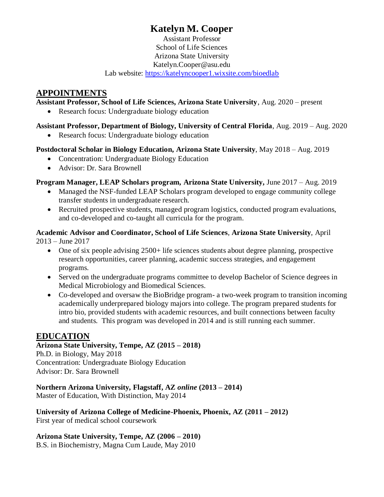# **Katelyn M. Cooper**

Assistant Professor School of Life Sciences Arizona State University Katelyn.Cooper@asu.edu Lab website:<https://katelyncooper1.wixsite.com/bioedlab>

# **APPOINTMENTS**

### **Assistant Professor, School of Life Sciences, Arizona State University**, Aug. 2020 – present

• Research focus: Undergraduate biology education

# **Assistant Professor, Department of Biology, University of Central Florida**, Aug. 2019 – Aug. 2020

• Research focus: Undergraduate biology education

## **Postdoctoral Scholar in Biology Education, Arizona State University**, May 2018 – Aug. 2019

- Concentration: Undergraduate Biology Education
- Advisor: Dr. Sara Brownell

# **Program Manager, LEAP Scholars program, Arizona State University,** June 2017 – Aug. 2019

- Managed the NSF-funded LEAP Scholars program developed to engage community college transfer students in undergraduate research.
- Recruited prospective students, managed program logistics, conducted program evaluations, and co-developed and co-taught all curricula for the program.

### **Academic Advisor and Coordinator, School of Life Sciences**, **Arizona State University**, April 2013 – June 2017

- One of six people advising 2500+ life sciences students about degree planning, prospective research opportunities, career planning, academic success strategies, and engagement programs.
- Served on the undergraduate programs committee to develop Bachelor of Science degrees in Medical Microbiology and Biomedical Sciences.
- Co-developed and oversaw the BioBridge program- a two-week program to transition incoming academically underprepared biology majors into college. The program prepared students for intro bio, provided students with academic resources, and built connections between faculty and students. This program was developed in 2014 and is still running each summer.

# **EDUCATION**

# **Arizona State University, Tempe, AZ (2015 – 2018)**

Ph.D. in Biology, May 2018 Concentration: Undergraduate Biology Education Advisor: Dr. Sara Brownell

**Northern Arizona University, Flagstaff, AZ** *online* **(2013 – 2014)** Master of Education, With Distinction, May 2014

**University of Arizona College of Medicine-Phoenix, Phoenix, AZ (2011 – 2012)** First year of medical school coursework

**Arizona State University, Tempe, AZ (2006 – 2010)**

B.S. in Biochemistry, Magna Cum Laude, May 2010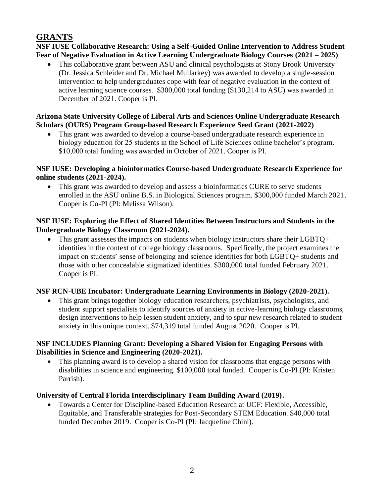# **GRANTS**

**NSF IUSE Collaborative Research: Using a Self-Guided Online Intervention to Address Student Fear of Negative Evaluation in Active Learning Undergraduate Biology Courses (2021 – 2025)**

• This collaborative grant between ASU and clinical psychologists at Stony Brook University (Dr. Jessica Schleider and Dr. Michael Mullarkey) was awarded to develop a single-session intervention to help undergraduates cope with fear of negative evaluation in the context of active learning science courses. \$300,000 total funding (\$130,214 to ASU) was awarded in December of 2021. Cooper is PI.

## **Arizona State University College of Liberal Arts and Sciences Online Undergraduate Research Scholars (OURS) Program Group-based Research Experience Seed Grant (2021-2022)**

• This grant was awarded to develop a course-based undergraduate research experience in biology education for 25 students in the School of Life Sciences online bachelor's program. \$10,000 total funding was awarded in October of 2021. Cooper is PI.

### **NSF IUSE: Developing a bioinformatics Course-based Undergraduate Research Experience for online students (2021-2024).**

• This grant was awarded to develop and assess a bioinformatics CURE to serve students enrolled in the ASU online B.S. in Biological Sciences program. \$300,000 funded March 2021. Cooper is Co-PI (PI: Melissa Wilson).

## **NSF IUSE: Exploring the Effect of Shared Identities Between Instructors and Students in the Undergraduate Biology Classroom (2021-2024).**

• This grant assesses the impacts on students when biology instructors share their LGBTQ+ identities in the context of college biology classrooms. Specifically, the project examines the impact on students' sense of belonging and science identities for both LGBTQ+ students and those with other concealable stigmatized identities. \$300,000 total funded February 2021. Cooper is PI.

# **NSF RCN-UBE Incubator: Undergraduate Learning Environments in Biology (2020-2021).**

• This grant brings together biology education researchers, psychiatrists, psychologists, and student support specialists to identify sources of anxiety in active-learning biology classrooms, design interventions to help lessen student anxiety, and to spur new research related to student anxiety in this unique context. \$74,319 total funded August 2020. Cooper is PI.

### **NSF INCLUDES Planning Grant: Developing a Shared Vision for Engaging Persons with Disabilities in Science and Engineering (2020-2021).**

• This planning award is to develop a shared vision for classrooms that engage persons with disabilities in science and engineering. \$100,000 total funded. Cooper is Co-PI (PI: Kristen Parrish).

# **University of Central Florida Interdisciplinary Team Building Award (2019).**

• Towards a Center for Discipline-based Education Research at UCF: Flexible, Accessible, Equitable, and Transferable strategies for Post-Secondary STEM Education. \$40,000 total funded December 2019. Cooper is Co-PI (PI: Jacqueline Chini).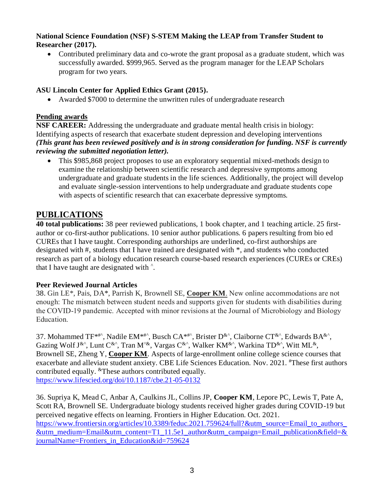#### **National Science Foundation (NSF) S-STEM Making the LEAP from Transfer Student to Researcher (2017).**

• Contributed preliminary data and co-wrote the grant proposal as a graduate student, which was successfully awarded. \$999,965. Served as the program manager for the LEAP Scholars program for two years.

# **ASU Lincoln Center for Applied Ethics Grant (2015).**

• Awarded \$7000 to determine the unwritten rules of undergraduate research

# **Pending awards**

**NSF CAREER:** Addressing the undergraduate and graduate mental health crisis in biology: Identifying aspects of research that exacerbate student depression and developing interventions *(This grant has been reviewed positively and is in strong consideration for funding. NSF is currently reviewing the submitted negotiation letter).*

• This \$985,868 project proposes to use an exploratory sequential mixed-methods design to examine the relationship between scientific research and depressive symptoms among undergraduate and graduate students in the life sciences. Additionally, the project will develop and evaluate single-session interventions to help undergraduate and graduate students cope with aspects of scientific research that can exacerbate depressive symptoms.

# **PUBLICATIONS**

**40 total publications:** 38 peer reviewed publications, 1 book chapter, and 1 teaching article. 25 firstauthor or co-first-author publications. 10 senior author publications. 6 papers resulting from bio ed CUREs that I have taught. Corresponding authorships are underlined, co-first authorships are designated with #, students that I have trained are designated with \*, and students who conducted research as part of a biology education research course-based research experiences (CUREs or CREs) that I have taught are designated with  $\hat{\ }$ .

# **Peer Reviewed Journal Articles**

38. Gin LE\*, Pais, DA\*, Parrish K, Brownell SE, **Cooper KM**. New online accommodations are not enough: The mismatch between student needs and supports given for students with disabilities during the COVID-19 pandemic. Accepted with minor revisions at the Journal of Microbiology and Biology Education.

37. Mohammed TF<sup>\*#^</sup>, Nadile EM<sup>\*#^</sup>, Busch CA<sup>\*#^</sup>, Brister D<sup>&^</sup>, Claiborne CT<sup>&^</sup>, Edwards BA<sup>&^</sup>, Gazing Wolf J&^, Lunt C&^, Tran M^&, Vargas C&^, Walker KM&^, Warkina TD&^, Witt ML&, Brownell SE, Zheng Y, **Cooper KM**. Aspects of large-enrollment online college science courses that exacerbate and alleviate student anxiety. CBE Life Sciences Education. Nov. 2021*.*  #These first authors contributed equally. &These authors contributed equally. <https://www.lifescied.org/doi/10.1187/cbe.21-05-0132>

36. Supriya K, Mead C, Anbar A, Caulkins JL, Collins JP, **Cooper KM**, Lepore PC, Lewis T, Pate A, Scott RA, Brownell SE. Undergraduate biology students received higher grades during COVID-19 but perceived negative effects on learning. Frontiers in Higher Education. Oct. 2021. [https://www.frontiersin.org/articles/10.3389/feduc.2021.759624/full?&utm\\_source=Email\\_to\\_authors\\_](https://www.frontiersin.org/articles/10.3389/feduc.2021.759624/full?&utm_source=Email_to_authors_&utm_medium=Email&utm_content=T1_11.5e1_author&utm_campaign=Email_publication&field=&journalName=Frontiers_in_Education&id=759624) [&utm\\_medium=Email&utm\\_content=T1\\_11.5e1\\_author&utm\\_campaign=Email\\_publication&field=&](https://www.frontiersin.org/articles/10.3389/feduc.2021.759624/full?&utm_source=Email_to_authors_&utm_medium=Email&utm_content=T1_11.5e1_author&utm_campaign=Email_publication&field=&journalName=Frontiers_in_Education&id=759624) [journalName=Frontiers\\_in\\_Education&id=759624](https://www.frontiersin.org/articles/10.3389/feduc.2021.759624/full?&utm_source=Email_to_authors_&utm_medium=Email&utm_content=T1_11.5e1_author&utm_campaign=Email_publication&field=&journalName=Frontiers_in_Education&id=759624)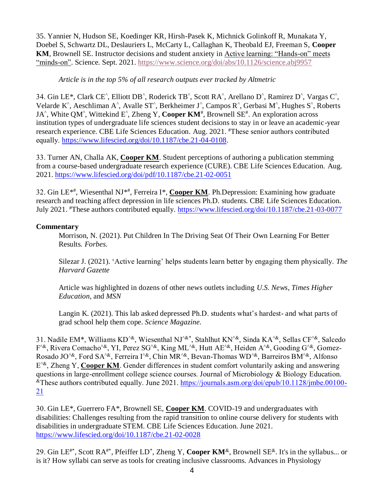35. Yannier N, Hudson SE, Koedinger KR, Hirsh-Pasek K, Michnick Golinkoff R, Munakata Y, Doebel S, Schwartz DL, Deslauriers L, McCarty L, Callaghan K, Theobald EJ, Freeman S, **Cooper KM**, Brownell SE. Instructor decisions and student anxiety in Active learning: "Hands-on" meets "minds-on". Science. Sept. 2021. <https://www.science.org/doi/abs/10.1126/science.abj9957>

### *Article is in the top 5% of all research outputs ever tracked by Altmetric*

34. Gin LE<sup>\*</sup>, Clark CE<sup>^</sup>, Elliott DB<sup>^</sup>, Roderick TB<sup>^</sup>, Scott RA<sup>^</sup>, Arellano D<sup>^</sup>, Ramirez D<sup>^</sup>, Vargas C<sup>^</sup>, Velarde K<sup>^</sup>, Aeschliman A<sup>^</sup>, Avalle ST<sup>^</sup>, Berkheimer J<sup>^</sup>, Campos R<sup>^</sup>, Gerbasi M<sup>^</sup>, Hughes S<sup>^</sup>, Roberts JA<sup>^</sup>, White QM<sup>^</sup>, Wittekind E<sup>^</sup>, Zheng Y, Cooper KM<sup>#</sup>, Brownell SE<sup>#</sup>. An exploration across institution types of undergraduate life sciences student decisions to stay in or leave an academic-year research experience. CBE Life Sciences Education. Aug. 2021. #These senior authors contributed equally. [https://www.lifescied.org/doi/10.1187/cbe.21-04-0108.](https://www.lifescied.org/doi/10.1187/cbe.21-04-0108)

33. Turner AN, Challa AK, **Cooper KM**. Student perceptions of authoring a publication stemming from a course-based undergraduate research experience (CURE). CBE Life Sciences Education. Aug. 2021[. https://www.lifescied.org/doi/pdf/10.1187/cbe.21-02-0051](https://www.lifescied.org/doi/pdf/10.1187/cbe.21-02-0051)

32. Gin LE<sup>\*#</sup>, Wiesenthal NJ<sup>\*#</sup>, Ferreira I\*, **Cooper KM**. Ph.Depression: Examining how graduate research and teaching affect depression in life sciences Ph.D. students. CBE Life Sciences Education. July 2021. #These authors contributed equally. <https://www.lifescied.org/doi/10.1187/cbe.21-03-0077>

### **Commentary**

Morrison, N. (2021). Put Children In The Driving Seat Of Their Own Learning For Better Results. *Forbes.*

Silezar J. (2021). 'Active learning' helps students learn better by engaging them physically. *The Harvard Gazette*

Article was highlighted in dozens of other news outlets including *U.S. News, Times Higher Education,* and *MSN*

Langin K. (2021). This lab asked depressed Ph.D. students what's hardest- and what parts of grad school help them cope*. Science Magazine.* 

31. Nadile EM\*, Williams KD^&, Wiesenthal NJ^&\* , Stahlhut KN^&, Sinda KA^&, Sellas CF^&, Salcedo F<sup>^&</sup>, Rivera Comacho<sup>^&</sup>, YI, Perez SG<sup>^&</sup>, King ML<sup>^&</sup>, Hutt AE<sup>^&</sup>, Heiden A<sup>^&</sup>, Gooding G<sup>^&</sup>, Gomez-Rosado JO<sup>^&</sup>, Ford SA<sup>^&</sup>, Ferreira I<sup>^&</sup>, Chin MR<sup>^&</sup>, Bevan-Thomas WD<sup>^&</sup>, Barreiros BM<sup>^&</sup>, Alfonso E<sup>1&</sup>, Zheng Y, Cooper KM. Gender differences in student comfort voluntarily asking and answering questions in large-enrollment college science courses. Journal of Microbiology & Biology Education. &These authors contributed equally. June 2021. [https://journals.asm.org/doi/epub/10.1128/jmbe.00100-](https://journals.asm.org/doi/epub/10.1128/jmbe.00100-21) [21](https://journals.asm.org/doi/epub/10.1128/jmbe.00100-21)

30. Gin LE\*, Guerrero FA\*, Brownell SE, **Cooper KM**. COVID-19 and undergraduates with disabilities: Challenges resulting from the rapid transition to online course delivery for students with disabilities in undergraduate STEM. CBE Life Sciences Education. June 2021. <https://www.lifescied.org/doi/10.1187/cbe.21-02-0028>

29. Gin LE<sup>#\*</sup>, Scott RA<sup>#\*</sup>, Pfeiffer LD<sup>\*</sup>, Zheng Y, Cooper KM<sup>&</sup>, Brownell SE<sup>&</sup>. It's in the syllabus... or is it? How syllabi can serve as tools for creating inclusive classrooms. Advances in Physiology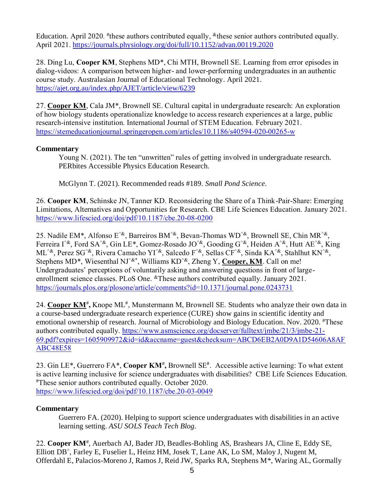Education. April 2020. <sup>#</sup>these authors contributed equally, <sup>&</sup>these senior authors contributed equally. April 2021. <https://journals.physiology.org/doi/full/10.1152/advan.00119.2020>

28. Ding Lu, **Cooper KM**, Stephens MD\*, Chi MTH, Brownell SE. Learning from error episodes in dialog-videos: A comparison between higher- and lower-performing undergraduates in an authentic course study. Australasian Journal of Educational Technology. April 2021. [https://ajet.org.au/index.php/AJET/article/view/6239](https://urldefense.com/v3/__https:/ajet.org.au/index.php/AJET/article/view/6239__;!!IKRxdwAv5BmarQ!JOuB7tVVXRjQfuOmqhuavG9FX4wTuPtjVKQBzwZbh0D2I3YftF4L1Sa4of2dV68Be99DRK0$)

27. **Cooper KM**, Cala JM\*, Brownell SE. Cultural capital in undergraduate research: An exploration of how biology students operationalize knowledge to access research experiences at a large, public research-intensive institution. International Journal of STEM Education. February 2021. <https://stemeducationjournal.springeropen.com/articles/10.1186/s40594-020-00265-w>

### **Commentary**

Young N. (2021). The ten "unwritten" rules of getting involved in undergraduate research. PERbites Accessible Physics Education Research.

McGlynn T. (2021). Recommended reads #189. *Small Pond Science.*

26. **Cooper KM**, Schinske JN, Tanner KD. Reconsidering the Share of a Think-Pair-Share: Emerging Limitations, Alternatives and Opportunities for Research. CBE Life Sciences Education. January 2021. <https://www.lifescied.org/doi/pdf/10.1187/cbe.20-08-0200>

25. Nadile EM\*, Alfonso E<sup> $\alpha$ </sup>, Barreiros BM<sup> $\alpha$ </sup>, Bevan-Thomas WD<sup> $\alpha$ </sup>, Brownell SE, Chin MR<sup> $\alpha$ </sup>, Ferreira  $\int_{0}^{\infty}$ , Ford SA<sup> $\alpha$ </sup>, Gin LE<sup>\*</sup>, Gomez-Rosado JO<sup> $\alpha$ </sup>, Gooding G<sup> $\alpha$ </sup>, Heiden A<sup> $\alpha$ </sup>, Hutt AE<sup> $\alpha$ </sup>, King ML^&, Perez SG^&, Rivera Camacho YI^&, Salcedo F^&, Sellas CF^&, Sinda KA^&, Stahlhut KN^&, Stephens MD<sup>\*</sup>, Wiesenthal NJ<sup>^&\*</sup>, Williams KD<sup>^&</sup>, Zheng Y, Cooper, KM. Call on me! Undergraduates' perceptions of voluntarily asking and answering questions in front of largeenrollment science classes. PLoS One. <sup>&</sup>These authors contributed equally. January 2021. <https://journals.plos.org/plosone/article/comments?id=10.1371/journal.pone.0243731>

24. Cooper KM<sup>#</sup>, Knope ML<sup>#</sup>, Munstermann M, Brownell SE. Students who analyze their own data in a course-based undergraduate research experience (CURE) show gains in scientific identity and emotional ownership of research. Journal of Microbiology and Biology Education. Nov. 2020*.* #These authors contributed equally. [https://www.asmscience.org/docserver/fulltext/jmbe/21/3/jmbe-21-](https://www.asmscience.org/docserver/fulltext/jmbe/21/3/jmbe-21-69.pdf?expires=1605909972&id=id&accname=guest&checksum=ABCD6EB2A0D9A1D54606A8AFABC48E58) [69.pdf?expires=1605909972&id=id&accname=guest&checksum=ABCD6EB2A0D9A1D54606A8AF](https://www.asmscience.org/docserver/fulltext/jmbe/21/3/jmbe-21-69.pdf?expires=1605909972&id=id&accname=guest&checksum=ABCD6EB2A0D9A1D54606A8AFABC48E58) [ABC48E58](https://www.asmscience.org/docserver/fulltext/jmbe/21/3/jmbe-21-69.pdf?expires=1605909972&id=id&accname=guest&checksum=ABCD6EB2A0D9A1D54606A8AFABC48E58)

23. Gin LE<sup>\*</sup>, Guerrero FA<sup>\*</sup>, Cooper KM<sup>#</sup>, Brownell SE<sup>#</sup>. Accessible active learning: To what extent is active learning inclusive for science undergraduates with disabilities? CBE Life Sciences Education. #These senior authors contributed equally. October 2020. <https://www.lifescied.org/doi/pdf/10.1187/cbe.20-03-0049>

### **Commentary**

Guerrero FA. (2020). Helping to support science undergraduates with disabilities in an active learning setting. *ASU SOLS Teach Tech Blog.*

22. Cooper KM<sup>#</sup>, Auerbach AJ, Bader JD, Beadles-Bohling AS, Brashears JA, Cline E, Eddy SE, Elliott DB^ , Farley E, Fuselier L, Heinz HM, Josek T, Lane AK, Lo SM, Maloy J, Nugent M, Offerdahl E, Palacios-Moreno J, Ramos J, Reid JW, Sparks RA, Stephens M\*, Waring AL, Gormally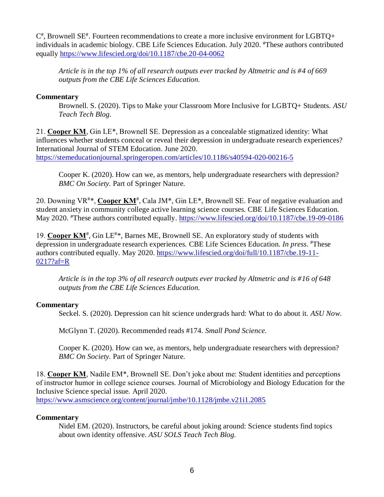$C^*$ , Brownell SE<sup>#</sup>. Fourteen recommendations to create a more inclusive environment for LGBTQ+ individuals in academic biology. CBE Life Sciences Education. July 2020. #These authors contributed equally <https://www.lifescied.org/doi/10.1187/cbe.20-04-0062>

*Article is in the top 1% of all research outputs ever tracked by Altmetric and is #4 of 669 outputs from the CBE Life Sciences Education.*

#### **Commentary**

Brownell. S. (2020). Tips to Make your Classroom More Inclusive for LGBTQ+ Students. *ASU Teach Tech Blog.*

21. **Cooper KM**, Gin LE\*, Brownell SE. Depression as a concealable stigmatized identity: What influences whether students conceal or reveal their depression in undergraduate research experiences? International Journal of STEM Education. June 2020.

<https://stemeducationjournal.springeropen.com/articles/10.1186/s40594-020-00216-5>

Cooper K. (2020). How can we, as mentors, help undergraduate researchers with depression? *BMC On Society.* Part of Springer Nature.

20. Downing VR<sup>#\*</sup>, Cooper KM<sup>#</sup>, Cala JM<sup>\*</sup>, Gin LE<sup>\*</sup>, Brownell SE. Fear of negative evaluation and student anxiety in community college active learning science courses. CBE Life Sciences Education. May 2020. <sup>#</sup>These authors contributed equally.<https://www.lifescied.org/doi/10.1187/cbe.19-09-0186>

19. Cooper KM<sup>#</sup>, Gin LE<sup>#\*</sup>, Barnes ME, Brownell SE. An exploratory study of students with depression in undergraduate research experiences. CBE Life Sciences Education*. In press.* #These authors contributed equally. May 2020. [https://www.lifescied.org/doi/full/10.1187/cbe.19-11-](https://www.lifescied.org/doi/full/10.1187/cbe.19-11-0217?af=R) [0217?af=R](https://www.lifescied.org/doi/full/10.1187/cbe.19-11-0217?af=R)

*Article is in the top 3% of all research outputs ever tracked by Altmetric and is #16 of 648 outputs from the CBE Life Sciences Education.*

### **Commentary**

Seckel. S. (2020). Depression can hit science undergrads hard: What to do about it. *ASU Now.*

McGlynn T. (2020). Recommended reads #174. *Small Pond Science.*

Cooper K. (2020). How can we, as mentors, help undergraduate researchers with depression? *BMC On Society.* Part of Springer Nature.

18. **Cooper KM**, Nadile EM\*, Brownell SE. Don't joke about me: Student identities and perceptions of instructor humor in college science courses. Journal of Microbiology and Biology Education for the Inclusive Science special issue. April 2020.

<https://www.asmscience.org/content/journal/jmbe/10.1128/jmbe.v21i1.2085>

### **Commentary**

Nidel EM. (2020). Instructors, be careful about joking around: Science students find topics about own identity offensive. *ASU SOLS Teach Tech Blog.*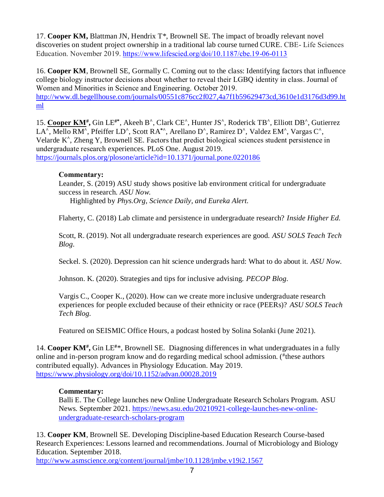17. **Cooper KM,** Blattman JN, Hendrix T\*, Brownell SE. The impact of broadly relevant novel discoveries on student project ownership in a traditional lab course turned CURE. CBE- Life Sciences Education. November 2019. <https://www.lifescied.org/doi/10.1187/cbe.19-06-0113>

16. **Cooper KM**, Brownell SE, Gormally C. Coming out to the class: Identifying factors that influence college biology instructor decisions about whether to reveal their LGBQ identity in class. Journal of Women and Minorities in Science and Engineering. October 2019. [http://www.dl.begellhouse.com/journals/00551c876cc2f027,4a7f1b59629473cd,3610e1d3176d3d99.ht](http://www.dl.begellhouse.com/journals/00551c876cc2f027,4a7f1b59629473cd,3610e1d3176d3d99.html) [ml](http://www.dl.begellhouse.com/journals/00551c876cc2f027,4a7f1b59629473cd,3610e1d3176d3d99.html)

15. **Cooper KM# ,** Gin LE**#\***, Akeeh B**^** , Clark CE**^** , Hunter JS**^** , Roderick TB**^** , Elliott DB**^** , Gutierrez LA**^** , Mello RM**^** , Pfeiffer LD**^** , Scott RA**\*^**, Arellano D**^** , Ramirez D**^** , Valdez EM**^** , Vargas C**^** , Velarde K**^** , Zheng Y, Brownell SE. Factors that predict biological sciences student persistence in undergraduate research experiences. PLoS One. August 2019. <https://journals.plos.org/plosone/article?id=10.1371/journal.pone.0220186>

#### **Commentary:**

Leander, S. (2019) ASU study shows positive lab environment critical for undergraduate success in research*. ASU Now.*

Highlighted by *Phys.Org, Science Daily, and Eureka Alert.*

Flaherty, C. (2018) Lab climate and persistence in undergraduate research? *Inside Higher Ed.*

Scott, R. (2019). Not all undergraduate research experiences are good. *ASU SOLS Teach Tech Blog.*

Seckel. S. (2020). Depression can hit science undergrads hard: What to do about it. *ASU Now.*

Johnson. K. (2020). Strategies and tips for inclusive advising. *PECOP Blog.*

Vargis C., Cooper K., (2020). How can we create more inclusive undergraduate research experiences for people excluded because of their ethnicity or race (PEERs)? *ASU SOLS Teach Tech Blog.*

Featured on SEISMIC Office Hours, a podcast hosted by Solina Solanki (June 2021).

14. Cooper KM<sup>#</sup>, Gin LE<sup>#\*</sup>, Brownell SE. Diagnosing differences in what undergraduates in a fully online and in-person program know and do regarding medical school admission. (#these authors contributed equally). Advances in Physiology Education. May 2019. <https://www.physiology.org/doi/10.1152/advan.00028.2019>

#### **Commentary:**

Balli E. The College launches new Online Undergraduate Research Scholars Program. ASU News. September 2021. [https://news.asu.edu/20210921-college-launches-new-online](https://news.asu.edu/20210921-college-launches-new-online-undergraduate-research-scholars-program)[undergraduate-research-scholars-program](https://news.asu.edu/20210921-college-launches-new-online-undergraduate-research-scholars-program)

13. **Cooper KM**, Brownell SE. Developing Discipline-based Education Research Course-based Research Experiences: Lessons learned and recommendations. Journal of Microbiology and Biology Education. September 2018.

<http://www.asmscience.org/content/journal/jmbe/10.1128/jmbe.v19i2.1567>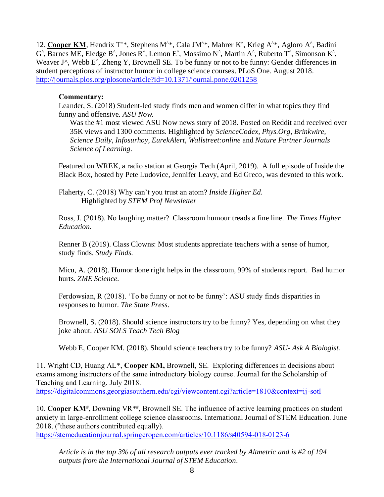12. Cooper KM, Hendrix T<sup>^\*</sup>, Stephens M<sup>^\*</sup>, Cala JM<sup>^\*</sup>, Mahrer K<sup>^</sup>, Krieg A<sup>^\*</sup>, Agloro A<sup>^</sup>, Badini G<sup>^</sup>, Barnes ME, Eledge B<sup>^</sup>, Jones R<sup>^</sup>, Lemon E<sup>^</sup>, Mossimo N<sup>^</sup>, Martin A<sup>^</sup>, Ruberto T<sup>^</sup>, Simonson K<sup>^</sup>, Weaver J^, Webb E<sup>^</sup>, Zheng Y, Brownell SE. To be funny or not to be funny: Gender differences in student perceptions of instructor humor in college science courses. PLoS One. August 2018. <http://journals.plos.org/plosone/article?id=10.1371/journal.pone.0201258>

#### **Commentary:**

Leander, S. (2018) Student-led study finds men and women differ in what topics they find funny and offensive*. ASU Now.*

Was the #1 most viewed ASU Now news story of 2018. Posted on Reddit and received over 35K views and 1300 comments. Highlighted by *ScienceCodex, Phys.Org, Brinkwire, Science Daily, Infosurhoy, EurekAlert, Wallstreet:online* and *Nature Partner Journals Science of Learning.*

Featured on WREK, a radio station at Georgia Tech (April, 2019). A full episode of Inside the Black Box, hosted by Pete Ludovice, Jennifer Leavy, and Ed Greco, was devoted to this work.

Flaherty, C. (2018) Why can't you trust an atom? *Inside Higher Ed.* Highlighted by *STEM Prof Newsletter*

Ross, J. (2018). No laughing matter? Classroom humour treads a fine line. *The Times Higher Education.*

Renner B (2019). Class Clowns: Most students appreciate teachers with a sense of humor, study finds. *Study Finds.*

Micu, A. (2018). Humor done right helps in the classroom, 99% of students report. Bad humor hurts. *ZME Science.*

Ferdowsian, R (2018). 'To be funny or not to be funny': ASU study finds disparities in responses to humor. *The State Press.*

Brownell, S. (2018). Should science instructors try to be funny? Yes, depending on what they joke about. *ASU SOLS Teach Tech Blog*

Webb E, Cooper KM. (2018). Should science teachers try to be funny? *ASU- Ask A Biologist.*

11. Wright CD, Huang AL\*, **Cooper KM,** Brownell, SE. Exploring differences in decisions about exams among instructors of the same introductory biology course. Journal for the Scholarship of Teaching and Learning. July 2018.

<https://digitalcommons.georgiasouthern.edu/cgi/viewcontent.cgi?article=1810&context=ij-sotl>

10. Cooper KM<sup>#</sup>, Downing VR<sup>\*#</sup>, Brownell SE. The influence of active learning practices on student anxiety in large-enrollment college science classrooms. International Journal of STEM Education. June 2018. ( # these authors contributed equally).

<https://stemeducationjournal.springeropen.com/articles/10.1186/s40594-018-0123-6>

*Article is in the top 3% of all research outputs ever tracked by Altmetric and is #2 of 194 outputs from the International Journal of STEM Education.*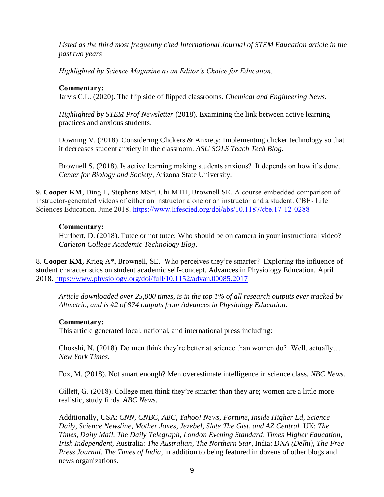*Listed as the third most frequently cited International Journal of STEM Education article in the past two years*

*Highlighted by Science Magazine as an Editor's Choice for Education.*

#### **Commentary:**

Jarvis C.L. (2020). The flip side of flipped classrooms*. Chemical and Engineering News.*

*Highlighted by STEM Prof Newsletter* (2018). Examining the link between active learning practices and anxious students.

Downing V. (2018). Considering Clickers & Anxiety: Implementing clicker technology so that it decreases student anxiety in the classroom. *ASU SOLS Teach Tech Blog.*

Brownell S. (2018). Is active learning making students anxious? It depends on how it's done. *Center for Biology and Society*, Arizona State University.

9. **Cooper KM**, Ding L, Stephens MS\*, Chi MTH, Brownell SE. A course-embedded comparison of instructor-generated videos of either an instructor alone or an instructor and a student. CBE- Life Sciences Education. June 2018.<https://www.lifescied.org/doi/abs/10.1187/cbe.17-12-0288>

#### **Commentary:**

Hurlbert, D. (2018). Tutee or not tutee: Who should be on camera in your instructional video? *Carleton College Academic Technology Blog.*

8. **Cooper KM,** Krieg A\*, Brownell, SE. Who perceives they're smarter? Exploring the influence of student characteristics on student academic self-concept. Advances in Physiology Education. April 2018[. https://www.physiology.org/doi/full/10.1152/advan.00085.2017](https://www.physiology.org/doi/full/10.1152/advan.00085.2017)

*Article downloaded over 25,000 times, is in the top 1% of all research outputs ever tracked by Altmetric, and is #2 of 874 outputs from Advances in Physiology Education.*

#### **Commentary:**

This article generated local, national, and international press including:

Chokshi, N. (2018). Do men think they're better at science than women do?Well, actually… *New York Times.* 

Fox, M. (2018). Not smart enough? Men overestimate intelligence in science class. *NBC News.*

Gillett, G. (2018). College men think they're smarter than they are; women are a little more realistic, study finds. *ABC News.*

Additionally, USA: *CNN, CNBC, ABC, Yahoo! News, Fortune, Inside Higher Ed, Science Daily, Science Newsline, Mother Jones, Jezebel, Slate The Gist, and AZ Central.* UK: *The Times, Daily Mail, The Daily Telegraph, London Evening Standard, Times Higher Education, Irish Independent,* Australia: *The Australian, The Northern Star*, India: *DNA (Delhi), The Free Press Journal, The Times of India,* in addition to being featured in dozens of other blogs and news organizations.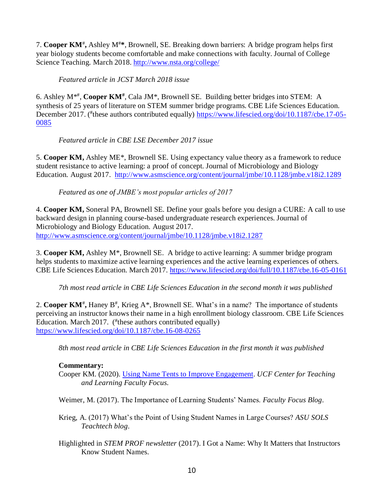7. **Cooper KM**# **,** Ashley M#**\***, Brownell, SE. Breaking down barriers: A bridge program helps first year biology students become comfortable and make connections with faculty. Journal of College Science Teaching. March 2018.<http://www.nsta.org/college/>

## *Featured article in JCST March 2018 issue*

6. Ashley M<sup>\*#</sup>, Cooper KM<sup>#</sup>, Cala JM<sup>\*</sup>, Brownell SE. Building better bridges into STEM: A synthesis of 25 years of literature on STEM summer bridge programs. CBE Life Sciences Education. December 2017. (<sup>#</sup>these authors contributed equally) [https://www.lifescied.org/doi/10.1187/cbe.17-05-](https://www.lifescied.org/doi/10.1187/cbe.17-05-0085) [0085](https://www.lifescied.org/doi/10.1187/cbe.17-05-0085)

*Featured article in CBE LSE December 2017 issue*

5. **Cooper KM,** Ashley ME\*, Brownell SE. Using expectancy value theory as a framework to reduce student resistance to active learning: a proof of concept. Journal of Microbiology and Biology Education. August 2017. <http://www.asmscience.org/content/journal/jmbe/10.1128/jmbe.v18i2.1289>

*Featured as one of JMBE's most popular articles of 2017*

4. **Cooper KM,** Soneral PA, Brownell SE. Define your goals before you design a CURE: A call to use backward design in planning course-based undergraduate research experiences. Journal of Microbiology and Biology Education. August 2017. <http://www.asmscience.org/content/journal/jmbe/10.1128/jmbe.v18i2.1287>

3. **Cooper KM,** Ashley M\*, Brownell SE. A bridge to active learning: A summer bridge program helps students to maximize active learning experiences and the active learning experiences of others. CBE Life Sciences Education. March 2017. <https://www.lifescied.org/doi/full/10.1187/cbe.16-05-0161>

*7th most read article in CBE Life Sciences Education in the second month it was published*

2. Cooper KM<sup>#</sup>, Haney B<sup>#</sup>, Krieg A\*, Brownell SE. What's in a name? The importance of students perceiving an instructor knows their name in a high enrollment biology classroom. CBE Life Sciences Education. March 2017. (#these authors contributed equally) <https://www.lifescied.org/doi/10.1187/cbe.16-08-0265>

*8th most read article in CBE Life Sciences Education in the first month it was published*

### **Commentary:**

Cooper KM. (2020). [Using Name Tents to Improve Engagement.](https://fctl.ucf.edu/wp-content/uploads/sites/5/2020/03/FF_2020_March.pdf) *UCF Center for Teaching and Learning Faculty Focus.* 

Weimer, M. (2017). The Importance of Learning Students' Names. *Faculty Focus Blog*.

- Krieg, A. (2017) What's the Point of Using Student Names in Large Courses? *ASU SOLS Teachtech blog*.
- Highlighted in *STEM PROF newsletter* (2017). I Got a Name: Why It Matters that Instructors Know Student Names.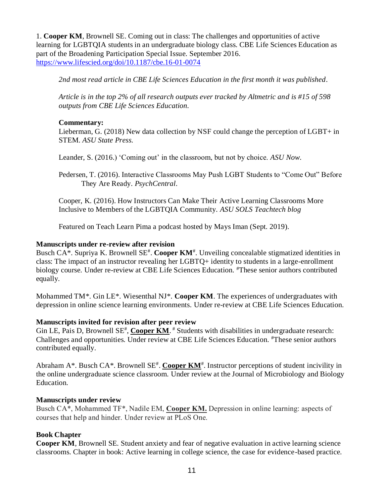1. **Cooper KM**, Brownell SE. Coming out in class: The challenges and opportunities of active learning for LGBTQIA students in an undergraduate biology class. CBE Life Sciences Education as part of the Broadening Participation Special Issue. September 2016. <https://www.lifescied.org/doi/10.1187/cbe.16-01-0074>

*2nd most read article in CBE Life Sciences Education in the first month it was published.*

*Article is in the top 2% of all research outputs ever tracked by Altmetric and is #15 of 598 outputs from CBE Life Sciences Education.*

#### **Commentary:**

Lieberman, G. (2018) New data collection by NSF could change the perception of LGBT+ in STEM. *ASU State Press.*

Leander, S. (2016.) 'Coming out' in the classroom, but not by choice. *ASU Now*.

Pedersen, T. (2016). Interactive Classrooms May Push LGBT Students to "Come Out" Before They Are Ready. *PsychCentral*.

Cooper, K. (2016). How Instructors Can Make Their Active Learning Classrooms More Inclusive to Members of the LGBTQIA Community. *ASU SOLS Teachtech blog*

Featured on Teach Learn Pima a podcast hosted by Mays Iman (Sept. 2019).

#### **Manuscripts under re-review after revision**

Busch CA<sup>\*</sup>. Supriya K. Brownell SE<sup>#</sup>. Cooper KM<sup>#</sup>. Unveiling concealable stigmatized identities in class: The impact of an instructor revealing her LGBTQ+ identity to students in a large-enrollment biology course. Under re-review at CBE Life Sciences Education. #These senior authors contributed equally.

Mohammed TM*\**. Gin LE\*. Wiesenthal NJ\*. **Cooper KM**. The experiences of undergraduates with depression in online science learning environments. Under re-review at CBE Life Sciences Education.

### **Manuscripts invited for revision after peer review**

Gin LE, Pais D, Brownell SE<sup>#</sup>, Cooper KM.<sup>#</sup> Students with disabilities in undergraduate research: Challenges and opportunities. Under review at CBE Life Sciences Education. #These senior authors contributed equally.

Abraham A<sup>\*</sup>. Busch CA<sup>\*</sup>. Brownell SE<sup>#</sup>. Cooper KM<sup>#</sup>. Instructor perceptions of student incivility in the online undergraduate science classroom. Under review at the Journal of Microbiology and Biology Education.

### **Manuscripts under review**

Busch CA\*, Mohammed TF\*, Nadile EM, **Cooper KM.** Depression in online learning: aspects of courses that help and hinder. Under review at PLoS One.

### **Book Chapter**

**Cooper KM**, Brownell SE. Student anxiety and fear of negative evaluation in active learning science classrooms. Chapter in book: Active learning in college science, the case for evidence-based practice.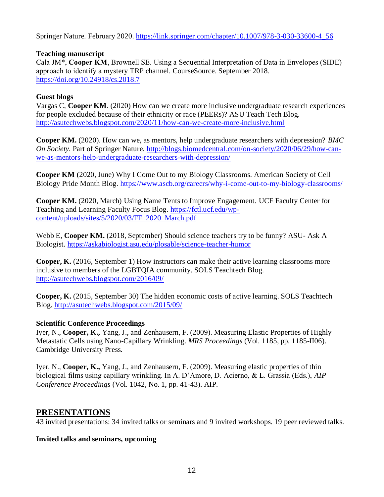Springer Nature. February 2020. [https://link.springer.com/chapter/10.1007/978-3-030-33600-4\\_56](https://link.springer.com/chapter/10.1007/978-3-030-33600-4_56)

### **Teaching manuscript**

Cala JM\*, **Cooper KM**, Brownell SE. Using a Sequential Interpretation of Data in Envelopes (SIDE) approach to identify a mystery TRP channel. CourseSource. September 2018. <https://doi.org/10.24918/cs.2018.7>

### **Guest blogs**

Vargas C, **Cooper KM**. (2020) How can we create more inclusive undergraduate research experiences for people excluded because of their ethnicity or race (PEERs)? ASU Teach Tech Blog. <http://asutechwebs.blogspot.com/2020/11/how-can-we-create-more-inclusive.html>

**Cooper KM.** (2020). How can we, as mentors, help undergraduate researchers with depression? *BMC On Society.* Part of Springer Nature. [http://blogs.biomedcentral.com/on-society/2020/06/29/how-can](http://blogs.biomedcentral.com/on-society/2020/06/29/how-can-we-as-mentors-help-undergraduate-researchers-with-depression/)[we-as-mentors-help-undergraduate-researchers-with-depression/](http://blogs.biomedcentral.com/on-society/2020/06/29/how-can-we-as-mentors-help-undergraduate-researchers-with-depression/)

**Cooper KM** (2020, June) Why I Come Out to my Biology Classrooms. American Society of Cell Biology Pride Month Blog.<https://www.ascb.org/careers/why-i-come-out-to-my-biology-classrooms/>

**Cooper KM.** (2020, March) Using Name Tents to Improve Engagement. UCF Faculty Center for Teaching and Learning Faculty Focus Blog. [https://fctl.ucf.edu/wp](https://fctl.ucf.edu/wp-content/uploads/sites/5/2020/03/FF_2020_March.pdf)[content/uploads/sites/5/2020/03/FF\\_2020\\_March.pdf](https://fctl.ucf.edu/wp-content/uploads/sites/5/2020/03/FF_2020_March.pdf)

Webb E, **Cooper KM.** (2018, September) Should science teachers try to be funny? ASU- Ask A Biologist. <https://askabiologist.asu.edu/plosable/science-teacher-humor>

**Cooper, K.** (2016, September 1) How instructors can make their active learning classrooms more inclusive to members of the LGBTQIA community. SOLS Teachtech Blog. <http://asutechwebs.blogspot.com/2016/09/>

**Cooper, K.** (2015, September 30) The hidden economic costs of active learning. SOLS Teachtech Blog. <http://asutechwebs.blogspot.com/2015/09/>

### **Scientific Conference Proceedings**

Iyer, N., **Cooper, K.,** Yang, J., and Zenhausern, F. (2009). Measuring Elastic Properties of Highly Metastatic Cells using Nano-Capillary Wrinkling. *MRS Proceedings* (Vol. 1185, pp. 1185-II06). Cambridge University Press.

Iyer, N., **Cooper, K.,** Yang, J., and Zenhausern, F. (2009). Measuring elastic properties of thin biological films using capillary wrinkling. In A. D'Amore, D. Acierno, & L. Grassia (Eds.), *AIP Conference Proceedings* (Vol. 1042, No. 1, pp. 41-43). AIP.

# **PRESENTATIONS**

43 invited presentations: 34 invited talks or seminars and 9 invited workshops. 19 peer reviewed talks.

### **Invited talks and seminars, upcoming**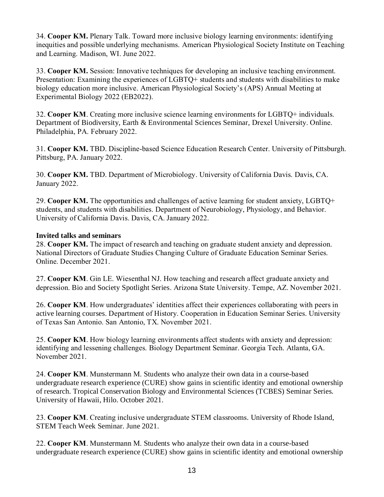34. **Cooper KM.** Plenary Talk. Toward more inclusive biology learning environments: identifying inequities and possible underlying mechanisms. American Physiological Society Institute on Teaching and Learning. Madison, WI. June 2022.

33. **Cooper KM.** Session: Innovative techniques for developing an inclusive teaching environment. Presentation: Examining the experiences of LGBTQ+ students and students with disabilities to make biology education more inclusive. American Physiological Society's (APS) Annual Meeting at Experimental Biology 2022 (EB2022).

32. **Cooper KM**. Creating more inclusive science learning environments for LGBTQ+ individuals. Department of Biodiversity, Earth & Environmental Sciences Seminar, Drexel University. Online. Philadelphia, PA. February 2022.

31. **Cooper KM.** TBD. Discipline-based Science Education Research Center. University of Pittsburgh. Pittsburg, PA. January 2022.

30. **Cooper KM.** TBD. Department of Microbiology. University of California Davis. Davis, CA. January 2022.

29. **Cooper KM.** The opportunities and challenges of active learning for student anxiety, LGBTQ+ students, and students with disabilities. Department of Neurobiology, Physiology, and Behavior. University of California Davis. Davis, CA. January 2022.

#### **Invited talks and seminars**

28. **Cooper KM.** The impact of research and teaching on graduate student anxiety and depression. National Directors of Graduate Studies Changing Culture of Graduate Education Seminar Series. Online. December 2021.

27. **Cooper KM**. Gin LE. Wiesenthal NJ. How teaching and research affect graduate anxiety and depression. Bio and Society Spotlight Series. Arizona State University. Tempe, AZ. November 2021.

26. **Cooper KM**. How undergraduates' identities affect their experiences collaborating with peers in active learning courses. Department of History. Cooperation in Education Seminar Series. University of Texas San Antonio. San Antonio, TX. November 2021.

25. **Cooper KM**. How biology learning environments affect students with anxiety and depression: identifying and lessening challenges. Biology Department Seminar. Georgia Tech. Atlanta, GA. November 2021.

24. **Cooper KM**. Munstermann M. Students who analyze their own data in a course-based undergraduate research experience (CURE) show gains in scientific identity and emotional ownership of research. Tropical Conservation Biology and Environmental Sciences (TCBES) Seminar Series. University of Hawaii, Hilo. October 2021.

23. **Cooper KM**. Creating inclusive undergraduate STEM classrooms. University of Rhode Island, STEM Teach Week Seminar. June 2021.

22. **Cooper KM**. Munstermann M. Students who analyze their own data in a course-based undergraduate research experience (CURE) show gains in scientific identity and emotional ownership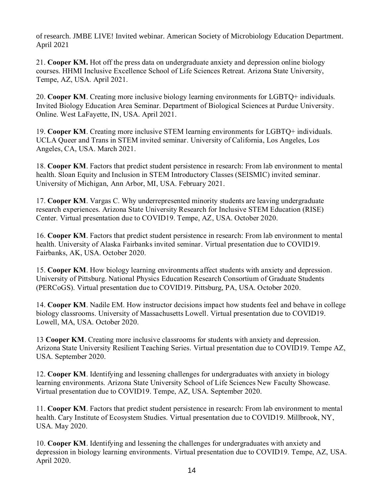of research. JMBE LIVE! Invited webinar. American Society of Microbiology Education Department. April 2021

21. **Cooper KM.** Hot off the press data on undergraduate anxiety and depression online biology courses. HHMI Inclusive Excellence School of Life Sciences Retreat. Arizona State University, Tempe, AZ, USA. April 2021.

20. **Cooper KM**. Creating more inclusive biology learning environments for LGBTQ+ individuals. Invited Biology Education Area Seminar. Department of Biological Sciences at Purdue University. Online. West LaFayette, IN, USA. April 2021.

19. **Cooper KM**. Creating more inclusive STEM learning environments for LGBTQ+ individuals. UCLA Queer and Trans in STEM invited seminar. University of California, Los Angeles, Los Angeles, CA, USA. March 2021.

18. **Cooper KM**. Factors that predict student persistence in research: From lab environment to mental health. Sloan Equity and Inclusion in STEM Introductory Classes (SEISMIC) invited seminar. University of Michigan, Ann Arbor, MI, USA. February 2021.

17. **Cooper KM**. Vargas C. Why underrepresented minority students are leaving undergraduate research experiences. Arizona State University Research for Inclusive STEM Education (RISE) Center. Virtual presentation due to COVID19. Tempe, AZ, USA. October 2020.

16. **Cooper KM**. Factors that predict student persistence in research: From lab environment to mental health. University of Alaska Fairbanks invited seminar. Virtual presentation due to COVID19. Fairbanks, AK, USA. October 2020.

15. **Cooper KM**. How biology learning environments affect students with anxiety and depression. University of Pittsburg. National Physics Education Research Consortium of Graduate Students (PERCoGS). Virtual presentation due to COVID19. Pittsburg, PA, USA. October 2020.

14. **Cooper KM**. Nadile EM. How instructor decisions impact how students feel and behave in college biology classrooms. University of Massachusetts Lowell. Virtual presentation due to COVID19. Lowell, MA, USA. October 2020.

13 **Cooper KM**. Creating more inclusive classrooms for students with anxiety and depression. Arizona State University Resilient Teaching Series. Virtual presentation due to COVID19. Tempe AZ, USA. September 2020.

12. **Cooper KM**. Identifying and lessening challenges for undergraduates with anxiety in biology learning environments. Arizona State University School of Life Sciences New Faculty Showcase. Virtual presentation due to COVID19. Tempe, AZ, USA. September 2020.

11. **Cooper KM**. Factors that predict student persistence in research: From lab environment to mental health. Cary Institute of Ecosystem Studies. Virtual presentation due to COVID19. Millbrook, NY, USA. May 2020.

10. **Cooper KM**. Identifying and lessening the challenges for undergraduates with anxiety and depression in biology learning environments. Virtual presentation due to COVID19. Tempe, AZ, USA. April 2020.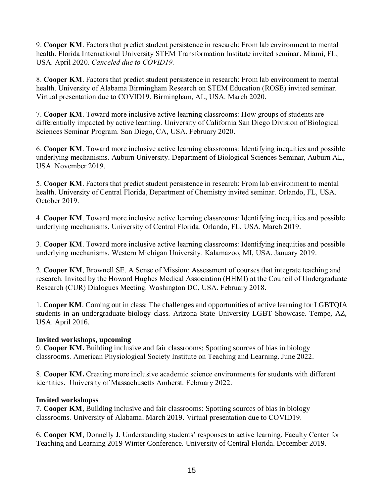9. **Cooper KM**. Factors that predict student persistence in research: From lab environment to mental health. Florida International University STEM Transformation Institute invited seminar. Miami, FL, USA. April 2020. *Canceled due to COVID19.*

8. **Cooper KM**. Factors that predict student persistence in research: From lab environment to mental health. University of Alabama Birmingham Research on STEM Education (ROSE) invited seminar. Virtual presentation due to COVID19. Birmingham, AL, USA. March 2020.

7. **Cooper KM**. Toward more inclusive active learning classrooms: How groups of students are differentially impacted by active learning. University of California San Diego Division of Biological Sciences Seminar Program. San Diego, CA, USA. February 2020.

6. **Cooper KM**. Toward more inclusive active learning classrooms: Identifying inequities and possible underlying mechanisms. Auburn University. Department of Biological Sciences Seminar, Auburn AL, USA. November 2019.

5. **Cooper KM**. Factors that predict student persistence in research: From lab environment to mental health. University of Central Florida, Department of Chemistry invited seminar. Orlando, FL, USA. October 2019.

4. **Cooper KM**. Toward more inclusive active learning classrooms: Identifying inequities and possible underlying mechanisms. University of Central Florida. Orlando, FL, USA. March 2019.

3. **Cooper KM**. Toward more inclusive active learning classrooms: Identifying inequities and possible underlying mechanisms. Western Michigan University. Kalamazoo, MI, USA. January 2019.

2. **Cooper KM**, Brownell SE. A Sense of Mission: Assessment of courses that integrate teaching and research. Invited by the Howard Hughes Medical Association (HHMI) at the Council of Undergraduate Research (CUR) Dialogues Meeting. Washington DC, USA. February 2018.

1. **Cooper KM**. Coming out in class: The challenges and opportunities of active learning for LGBTQIA students in an undergraduate biology class. Arizona State University LGBT Showcase. Tempe, AZ, USA. April 2016.

### **Invited workshops, upcoming**

9. **Cooper KM.** Building inclusive and fair classrooms: Spotting sources of bias in biology classrooms. American Physiological Society Institute on Teaching and Learning. June 2022.

8. **Cooper KM.** Creating more inclusive academic science environments for students with different identities. University of Massachusetts Amherst. February 2022.

#### **Invited workshopss**

7. **Cooper KM**, Building inclusive and fair classrooms: Spotting sources of bias in biology classrooms. University of Alabama. March 2019. Virtual presentation due to COVID19.

6. **Cooper KM**, Donnelly J. Understanding students' responses to active learning. Faculty Center for Teaching and Learning 2019 Winter Conference. University of Central Florida. December 2019.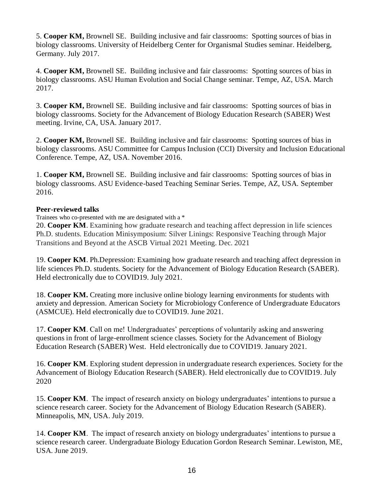5. **Cooper KM,** Brownell SE. Building inclusive and fair classrooms: Spotting sources of bias in biology classrooms. University of Heidelberg Center for Organismal Studies seminar. Heidelberg, Germany. July 2017.

4. **Cooper KM,** Brownell SE. Building inclusive and fair classrooms: Spotting sources of bias in biology classrooms. ASU Human Evolution and Social Change seminar. Tempe, AZ, USA. March 2017.

3. **Cooper KM,** Brownell SE. Building inclusive and fair classrooms: Spotting sources of bias in biology classrooms. Society for the Advancement of Biology Education Research (SABER) West meeting. Irvine, CA, USA. January 2017.

2. **Cooper KM,** Brownell SE. Building inclusive and fair classrooms: Spotting sources of bias in biology classrooms. ASU Committee for Campus Inclusion (CCI) Diversity and Inclusion Educational Conference. Tempe, AZ, USA. November 2016.

1. **Cooper KM,** Brownell SE. Building inclusive and fair classrooms: Spotting sources of bias in biology classrooms. ASU Evidence-based Teaching Seminar Series. Tempe, AZ, USA. September 2016.

#### **Peer-reviewed talks**

Trainees who co-presented with me are designated with a \*

20. **Cooper KM**. Examining how graduate research and teaching affect depression in life sciences Ph.D. students. Education Minisymposium: Silver Linings: Responsive Teaching through Major Transitions and Beyond at the ASCB Virtual 2021 Meeting. Dec. 2021

19. **Cooper KM**. Ph.Depression: Examining how graduate research and teaching affect depression in life sciences Ph.D. students. Society for the Advancement of Biology Education Research (SABER). Held electronically due to COVID19. July 2021.

18. **Cooper KM.** Creating more inclusive online biology learning environments for students with anxiety and depression. American Society for Microbiology Conference of Undergraduate Educators (ASMCUE). Held electronically due to COVID19. June 2021.

17. **Cooper KM**. Call on me! Undergraduates' perceptions of voluntarily asking and answering questions in front of large-enrollment science classes. Society for the Advancement of Biology Education Research (SABER) West. Held electronically due to COVID19. January 2021.

16. **Cooper KM**. Exploring student depression in undergraduate research experiences. Society for the Advancement of Biology Education Research (SABER). Held electronically due to COVID19. July 2020

15. **Cooper KM**. The impact of research anxiety on biology undergraduates' intentions to pursue a science research career. Society for the Advancement of Biology Education Research (SABER). Minneapolis, MN, USA. July 2019.

14. **Cooper KM**. The impact of research anxiety on biology undergraduates' intentions to pursue a science research career. Undergraduate Biology Education Gordon Research Seminar. Lewiston, ME, USA. June 2019.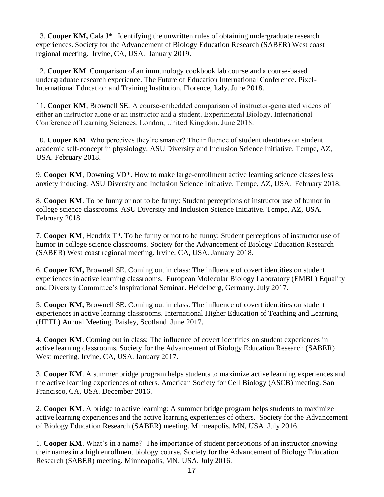13. **Cooper KM,** Cala J\*. Identifying the unwritten rules of obtaining undergraduate research experiences. Society for the Advancement of Biology Education Research (SABER) West coast regional meeting. Irvine, CA, USA. January 2019.

12. **Cooper KM**. Comparison of an immunology cookbook lab course and a course-based undergraduate research experience. The Future of Education International Conference. Pixel-International Education and Training Institution. Florence, Italy. June 2018.

11. **Cooper KM**, Brownell SE. A course-embedded comparison of instructor-generated videos of either an instructor alone or an instructor and a student. Experimental Biology. International Conference of Learning Sciences. London, United Kingdom. June 2018.

10. **Cooper KM**. Who perceives they're smarter? The influence of student identities on student academic self-concept in physiology. ASU Diversity and Inclusion Science Initiative. Tempe, AZ, USA. February 2018.

9. **Cooper KM**, Downing VD\*. How to make large-enrollment active learning science classes less anxiety inducing. ASU Diversity and Inclusion Science Initiative. Tempe, AZ, USA. February 2018.

8. **Cooper KM**. To be funny or not to be funny: Student perceptions of instructor use of humor in college science classrooms. ASU Diversity and Inclusion Science Initiative. Tempe, AZ, USA. February 2018.

7. **Cooper KM**, Hendrix T\*. To be funny or not to be funny: Student perceptions of instructor use of humor in college science classrooms. Society for the Advancement of Biology Education Research (SABER) West coast regional meeting. Irvine, CA, USA. January 2018.

6. **Cooper KM,** Brownell SE. Coming out in class: The influence of covert identities on student experiences in active learning classrooms. European Molecular Biology Laboratory (EMBL) Equality and Diversity Committee's Inspirational Seminar. Heidelberg, Germany. July 2017.

5. **Cooper KM,** Brownell SE. Coming out in class: The influence of covert identities on student experiences in active learning classrooms. International Higher Education of Teaching and Learning (HETL) Annual Meeting. Paisley, Scotland. June 2017.

4. **Cooper KM**. Coming out in class: The influence of covert identities on student experiences in active learning classrooms. Society for the Advancement of Biology Education Research (SABER) West meeting. Irvine, CA, USA. January 2017.

3. **Cooper KM**. A summer bridge program helps students to maximize active learning experiences and the active learning experiences of others. American Society for Cell Biology (ASCB) meeting. San Francisco, CA, USA. December 2016.

2. **Cooper KM**. A bridge to active learning: A summer bridge program helps students to maximize active learning experiences and the active learning experiences of others. Society for the Advancement of Biology Education Research (SABER) meeting. Minneapolis, MN, USA. July 2016.

1. **Cooper KM**. What's in a name? The importance of student perceptions of an instructor knowing their names in a high enrollment biology course. Society for the Advancement of Biology Education Research (SABER) meeting. Minneapolis, MN, USA. July 2016.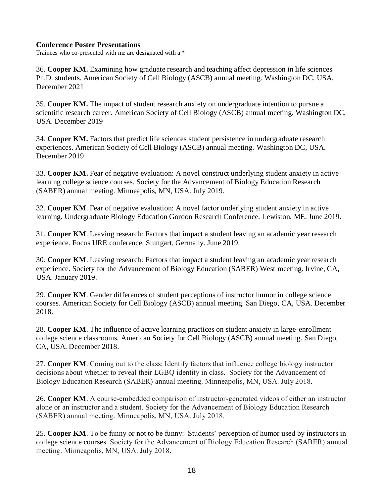#### **Conference Poster Presentations**

Trainees who co-presented with me are designated with a \*

36. **Cooper KM.** Examining how graduate research and teaching affect depression in life sciences Ph.D. students. American Society of Cell Biology (ASCB) annual meeting. Washington DC, USA. December 2021

35. **Cooper KM.** The impact of student research anxiety on undergraduate intention to pursue a scientific research career. American Society of Cell Biology (ASCB) annual meeting. Washington DC, USA. December 2019

34. **Cooper KM.** Factors that predict life sciences student persistence in undergraduate research experiences. American Society of Cell Biology (ASCB) annual meeting. Washington DC, USA. December 2019.

33. **Cooper KM.** Fear of negative evaluation: A novel construct underlying student anxiety in active learning college science courses. Society for the Advancement of Biology Education Research (SABER) annual meeting. Minneapolis, MN, USA. July 2019.

32. **Cooper KM**. Fear of negative evaluation: A novel factor underlying student anxiety in active learning. Undergraduate Biology Education Gordon Research Conference. Lewiston, ME. June 2019.

31. **Cooper KM**. Leaving research: Factors that impact a student leaving an academic year research experience. Focus URE conference. Stuttgart, Germany. June 2019.

30. **Cooper KM**. Leaving research: Factors that impact a student leaving an academic year research experience. Society for the Advancement of Biology Education (SABER) West meeting. Irvine, CA, USA. January 2019.

29. **Cooper KM**. Gender differences of student perceptions of instructor humor in college science courses. American Society for Cell Biology (ASCB) annual meeting. San Diego, CA, USA. December 2018.

28. **Cooper KM**. The influence of active learning practices on student anxiety in large-enrollment college science classrooms. American Society for Cell Biology (ASCB) annual meeting. San Diego, CA, USA. December 2018.

27. **Cooper KM**. Coming out to the class: Identify factors that influence college biology instructor decisions about whether to reveal their LGBQ identity in class. Society for the Advancement of Biology Education Research (SABER) annual meeting. Minneapolis, MN, USA. July 2018.

26. **Cooper KM**. A course-embedded comparison of instructor-generated videos of either an instructor alone or an instructor and a student. Society for the Advancement of Biology Education Research (SABER) annual meeting. Minneapolis, MN, USA. July 2018.

25. **Cooper KM**. To be funny or not to be funny: Students' perception of humor used by instructors in college science courses. Society for the Advancement of Biology Education Research (SABER) annual meeting. Minneapolis, MN, USA. July 2018.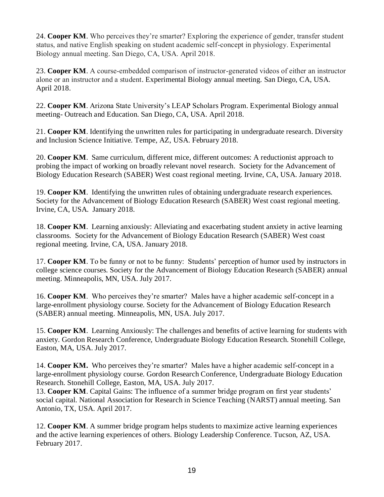24. **Cooper KM**. Who perceives they're smarter? Exploring the experience of gender, transfer student status, and native English speaking on student academic self-concept in physiology. Experimental Biology annual meeting. San Diego, CA, USA. April 2018.

23. **Cooper KM**. A course-embedded comparison of instructor-generated videos of either an instructor alone or an instructor and a student. Experimental Biology annual meeting. San Diego, CA, USA. April 2018.

22. **Cooper KM**. Arizona State University's LEAP Scholars Program. Experimental Biology annual meeting- Outreach and Education. San Diego, CA, USA. April 2018.

21. **Cooper KM**. Identifying the unwritten rules for participating in undergraduate research. Diversity and Inclusion Science Initiative. Tempe, AZ, USA. February 2018.

20. **Cooper KM**. Same curriculum, different mice, different outcomes: A reductionist approach to probing the impact of working on broadly relevant novel research. Society for the Advancement of Biology Education Research (SABER) West coast regional meeting. Irvine, CA, USA. January 2018.

19. **Cooper KM**. Identifying the unwritten rules of obtaining undergraduate research experiences. Society for the Advancement of Biology Education Research (SABER) West coast regional meeting. Irvine, CA, USA. January 2018.

18. **Cooper KM**. Learning anxiously: Alleviating and exacerbating student anxiety in active learning classrooms. Society for the Advancement of Biology Education Research (SABER) West coast regional meeting. Irvine, CA, USA. January 2018.

17. **Cooper KM**. To be funny or not to be funny: Students' perception of humor used by instructors in college science courses. Society for the Advancement of Biology Education Research (SABER) annual meeting. Minneapolis, MN, USA. July 2017.

16. **Cooper KM**. Who perceives they're smarter? Males have a higher academic self-concept in a large-enrollment physiology course. Society for the Advancement of Biology Education Research (SABER) annual meeting. Minneapolis, MN, USA. July 2017.

15. **Cooper KM**. Learning Anxiously: The challenges and benefits of active learning for students with anxiety. Gordon Research Conference, Undergraduate Biology Education Research. Stonehill College, Easton, MA, USA. July 2017.

14. **Cooper KM.** Who perceives they're smarter? Males have a higher academic self-concept in a large-enrollment physiology course. Gordon Research Conference, Undergraduate Biology Education Research. Stonehill College, Easton, MA, USA. July 2017.

13. **Cooper KM**. Capital Gains: The influence of a summer bridge program on first year students' social capital. National Association for Research in Science Teaching (NARST) annual meeting. San Antonio, TX, USA. April 2017.

12. **Cooper KM**. A summer bridge program helps students to maximize active learning experiences and the active learning experiences of others. Biology Leadership Conference. Tucson, AZ, USA. February 2017.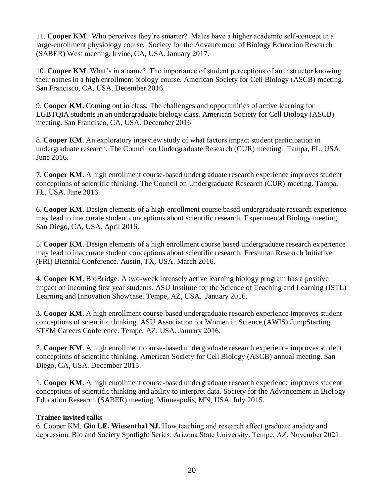11. **Cooper KM**. Who perceives they're smarter? Males have a higher academic self-concept in a large-enrollment physiology course. Society for the Advancement of Biology Education Research (SABER) West meeting. Irvine, CA, USA. January 2017.

10. **Cooper KM**. What's in a name? The importance of student perceptions of an instructor knowing their names in a high enrollment biology course. American Society for Cell Biology (ASCB) meeting. San Francisco, CA, USA. December 2016.

9. **Cooper KM.** Coming out in class: The challenges and opportunities of active learning for LGBTQIA students in an undergraduate biology class. American Society for Cell Biology (ASCB) meeting. San Francisco, CA, USA. December 2016

8. **Cooper KM**. An exploratory interview study of what factors impact student participation in undergraduate research. The Council on Undergraduate Research (CUR) meeting. Tampa, FL, USA. June 2016.

7. **Cooper KM**. A high enrollment course-based undergraduate research experience improves student conceptions of scientific thinking. The Council on Undergraduate Research (CUR) meeting. Tampa, FL, USA. June 2016.

6. **Cooper KM**. Design elements of a high-enrollment course based undergraduate research experience may lead to inaccurate student conceptions about scientific research. Experimental Biology meeting. San Diego, CA, USA. April 2016.

5. **Cooper KM**. Design elements of a high enrollment course based undergraduate research experience may lead to inaccurate student conceptions about scientific research. Freshman Research Initiative (FRI) Biennial Conference. Austin, TX, USA. March 2016.

4. **Cooper KM**. BioBridge: A two-week intensely active learning biology program has a positive impact on incoming first year students. ASU Institute for the Science of Teaching and Learning (ISTL) Learning and Innovation Showcase. Tempe, AZ, USA. January 2016.

3. **Cooper KM**. A high enrollment course-based undergraduate research experience improves student conceptions of scientific thinking. ASU Association for Women in Science (AWIS) JumpStarting STEM Careers Conference. Tempe, AZ, USA. January 2016.

2. **Cooper KM**. A high enrollment course-based undergraduate research experience improves student conceptions of scientific thinking. American Society for Cell Biology (ASCB) annual meeting. San Diego, CA, USA. December 2015.

1. **Cooper KM**. A high enrollment course-based undergraduate research experience improves student conceptions of scientific thinking and ability to interpret data. Society for the Advancement in Biology Education Research (SABER) meeting. Minneapolis, MN, USA. July 2015.

### **Trainee invited talks**

6. Cooper KM. **Gin LE. Wiesenthal NJ.** How teaching and research affect graduate anxiety and depression. Bio and Society Spotlight Series. Arizona State University. Tempe, AZ. November 2021.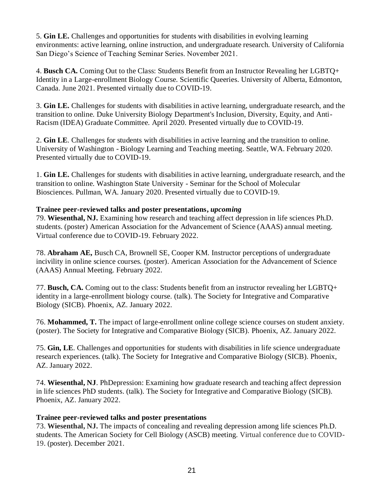5. **Gin LE.** Challenges and opportunities for students with disabilities in evolving learning environments: active learning, online instruction, and undergraduate research. University of California San Diego's Science of Teaching Seminar Series. November 2021.

4. **Busch CA.** Coming Out to the Class: Students Benefit from an Instructor Revealing her LGBTQ+ Identity in a Large-enrollment Biology Course. Scientific Queeries. University of Alberta, Edmonton, Canada. June 2021. Presented virtually due to COVID-19.

3. **Gin LE.** Challenges for students with disabilities in active learning, undergraduate research, and the transition to online. Duke University Biology Department's Inclusion, Diversity, Equity, and Anti-Racism (IDEA) Graduate Committee. April 2020. Presented virtually due to COVID-19.

2. **Gin LE**. Challenges for students with disabilities in active learning and the transition to online. University of Washington - Biology Learning and Teaching meeting. Seattle, WA. February 2020. Presented virtually due to COVID-19.

1. **Gin LE.** Challenges for students with disabilities in active learning, undergraduate research, and the transition to online. Washington State University - Seminar for the School of Molecular Biosciences. Pullman, WA. January 2020. Presented virtually due to COVID-19.

### **Trainee peer-reviewed talks and poster presentations,** *upcoming*

79. **Wiesenthal, NJ.** Examining how research and teaching affect depression in life sciences Ph.D. students. (poster) American Association for the Advancement of Science (AAAS) annual meeting. Virtual conference due to COVID-19. February 2022.

78. **Abraham AE,** Busch CA, Brownell SE, Cooper KM. Instructor perceptions of undergraduate incivility in online science courses. (poster). American Association for the Advancement of Science (AAAS) Annual Meeting. February 2022.

77. **Busch, CA.** Coming out to the class: Students benefit from an instructor revealing her LGBTQ+ identity in a large-enrollment biology course. (talk). The Society for Integrative and Comparative Biology (SICB). Phoenix, AZ. January 2022.

76. **Mohammed, T.** The impact of large-enrollment online college science courses on student anxiety. (poster). The Society for Integrative and Comparative Biology (SICB). Phoenix, AZ. January 2022.

75. **Gin, LE**. Challenges and opportunities for students with disabilities in life science undergraduate research experiences. (talk). The Society for Integrative and Comparative Biology (SICB). Phoenix, AZ. January 2022.

74. **Wiesenthal, NJ**. PhDepression: Examining how graduate research and teaching affect depression in life sciences PhD students. (talk). The Society for Integrative and Comparative Biology (SICB). Phoenix, AZ. January 2022.

### **Trainee peer-reviewed talks and poster presentations**

73. **Wiesenthal, NJ.** The impacts of concealing and revealing depression among life sciences Ph.D. students. The American Society for Cell Biology (ASCB) meeting. Virtual conference due to COVID-19. (poster). December 2021.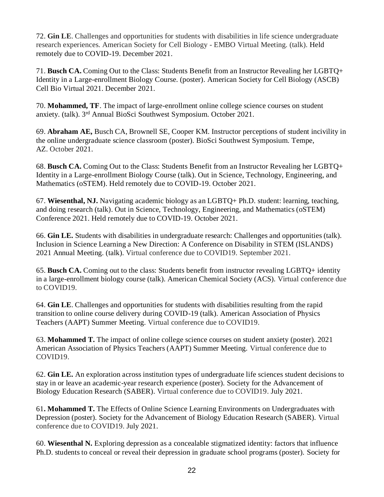72. **Gin LE**. Challenges and opportunities for students with disabilities in life science undergraduate research experiences. American Society for Cell Biology - EMBO Virtual Meeting. (talk). Held remotely due to COVID-19. December 2021.

71. **Busch CA.** Coming Out to the Class: Students Benefit from an Instructor Revealing her LGBTQ+ Identity in a Large-enrollment Biology Course. (poster). American Society for Cell Biology (ASCB) Cell Bio Virtual 2021. December 2021.

70. **Mohammed, TF**. The impact of large-enrollment online college science courses on student anxiety. (talk). 3rd Annual BioSci Southwest Symposium. October 2021.

69. **Abraham AE,** Busch CA, Brownell SE, Cooper KM. Instructor perceptions of student incivility in the online undergraduate science classroom (poster). BioSci Southwest Symposium. Tempe, AZ. October 2021.

68. **Busch CA.** Coming Out to the Class: Students Benefit from an Instructor Revealing her LGBTQ+ Identity in a Large-enrollment Biology Course (talk). Out in Science, Technology, Engineering, and Mathematics (oSTEM). Held remotely due to COVID-19. October 2021.

67. **Wiesenthal, NJ.** Navigating academic biology as an LGBTQ+ Ph.D. student: learning, teaching, and doing research (talk). Out in Science, Technology, Engineering, and Mathematics (oSTEM) Conference 2021. Held remotely due to COVID-19. October 2021.

66. **Gin LE.** Students with disabilities in undergraduate research: Challenges and opportunities (talk). Inclusion in Science Learning a New Direction: A Conference on Disability in STEM (ISLANDS) 2021 Annual Meeting. (talk). Virtual conference due to COVID19. September 2021.

65. **Busch CA.** Coming out to the class: Students benefit from instructor revealing LGBTQ+ identity in a large-enrollment biology course (talk). American Chemical Society (ACS). Virtual conference due to COVID19.

64. **Gin LE**. Challenges and opportunities for students with disabilities resulting from the rapid transition to online course delivery during COVID-19 (talk). American Association of Physics Teachers (AAPT) Summer Meeting. Virtual conference due to COVID19.

63. **Mohammed T.** The impact of online college science courses on student anxiety (poster). 2021 American Association of Physics Teachers (AAPT) Summer Meeting. Virtual conference due to COVID19.

62. **Gin LE.** An exploration across institution types of undergraduate life sciences student decisions to stay in or leave an academic-year research experience (poster). Society for the Advancement of Biology Education Research (SABER). Virtual conference due to COVID19. July 2021.

61**. Mohammed T.** The Effects of Online Science Learning Environments on Undergraduates with Depression (poster). Society for the Advancement of Biology Education Research (SABER). Virtual conference due to COVID19. July 2021.

60. **Wiesenthal N.** Exploring depression as a concealable stigmatized identity: factors that influence Ph.D. students to conceal or reveal their depression in graduate school programs (poster). Society for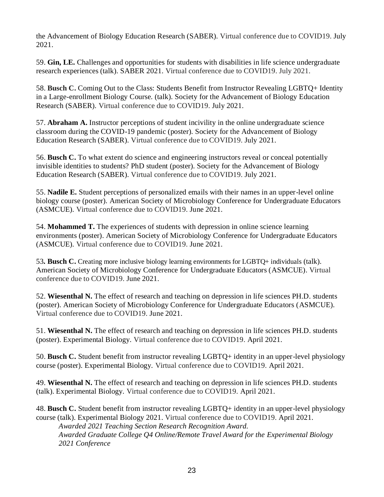the Advancement of Biology Education Research (SABER). Virtual conference due to COVID19. July 2021.

59. **Gin, LE.** Challenges and opportunities for students with disabilities in life science undergraduate research experiences (talk). SABER 2021. Virtual conference due to COVID19. July 2021.

58. **Busch C.** Coming Out to the Class: Students Benefit from Instructor Revealing LGBTQ+ Identity in a Large-enrollment Biology Course. (talk). Society for the Advancement of Biology Education Research (SABER). Virtual conference due to COVID19. July 2021.

57. **Abraham A.** Instructor perceptions of student incivility in the online undergraduate science classroom during the COVID-19 pandemic (poster). Society for the Advancement of Biology Education Research (SABER). Virtual conference due to COVID19. July 2021.

56. **Busch C.** To what extent do science and engineering instructors reveal or conceal potentially invisible identities to students? PhD student (poster). Society for the Advancement of Biology Education Research (SABER). Virtual conference due to COVID19. July 2021.

55. **Nadile E.** Student perceptions of personalized emails with their names in an upper-level online biology course (poster). American Society of Microbiology Conference for Undergraduate Educators (ASMCUE). Virtual conference due to COVID19. June 2021.

54. **Mohammed T.** The experiences of students with depression in online science learning environments (poster). American Society of Microbiology Conference for Undergraduate Educators (ASMCUE). Virtual conference due to COVID19. June 2021.

53*.* **Busch C.** Creating more inclusive biology learning environments for LGBTQ+ individuals (talk). American Society of Microbiology Conference for Undergraduate Educators (ASMCUE). Virtual conference due to COVID19. June 2021.

52. **Wiesenthal N.** The effect of research and teaching on depression in life sciences PH.D. students (poster). American Society of Microbiology Conference for Undergraduate Educators (ASMCUE). Virtual conference due to COVID19. June 2021.

51. **Wiesenthal N.** The effect of research and teaching on depression in life sciences PH.D. students (poster). Experimental Biology. Virtual conference due to COVID19. April 2021.

50. **Busch C.** Student benefit from instructor revealing LGBTQ+ identity in an upper-level physiology course (poster). Experimental Biology. Virtual conference due to COVID19. April 2021.

49. **Wiesenthal N.** The effect of research and teaching on depression in life sciences PH.D. students (talk). Experimental Biology. Virtual conference due to COVID19. April 2021.

48. **Busch C.** Student benefit from instructor revealing LGBTQ+ identity in an upper-level physiology course (talk). Experimental Biology 2021. Virtual conference due to COVID19. April 2021.

*Awarded 2021 Teaching Section Research Recognition Award. Awarded Graduate College Q4 Online/Remote Travel Award for the Experimental Biology 2021 Conference*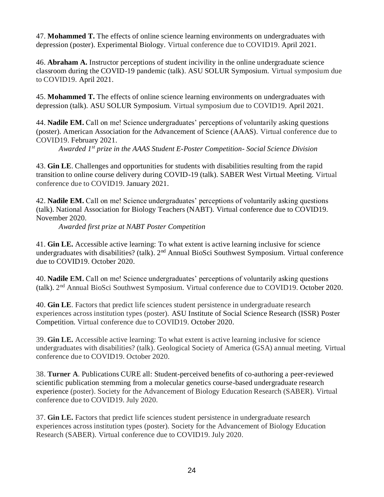47. **Mohammed T.** The effects of online science learning environments on undergraduates with depression (poster). Experimental Biology. Virtual conference due to COVID19. April 2021.

46. **Abraham A.** Instructor perceptions of student incivility in the online undergraduate science classroom during the COVID-19 pandemic (talk). ASU SOLUR Symposium. Virtual symposium due to COVID19. April 2021.

45. **Mohammed T.** The effects of online science learning environments on undergraduates with depression (talk). ASU SOLUR Symposium. Virtual symposium due to COVID19. April 2021.

44. **Nadile EM.** Call on me! Science undergraduates' perceptions of voluntarily asking questions (poster). American Association for the Advancement of Science (AAAS). Virtual conference due to COVID19. February 2021.

*Awarded 1st prize in the AAAS Student E-Poster Competition- Social Science Division*

43. **Gin LE**. Challenges and opportunities for students with disabilities resulting from the rapid transition to online course delivery during COVID-19 (talk). SABER West Virtual Meeting. Virtual conference due to COVID19. January 2021.

42. **Nadile EM.** Call on me! Science undergraduates' perceptions of voluntarily asking questions (talk). National Association for Biology Teachers (NABT). Virtual conference due to COVID19. November 2020.

*Awarded first prize at NABT Poster Competition*

41. **Gin LE.** Accessible active learning: To what extent is active learning inclusive for science undergraduates with disabilities? (talk). 2<sup>nd</sup> Annual BioSci Southwest Symposium. Virtual conference due to COVID19. October 2020.

40. **Nadile EM.** Call on me! Science undergraduates' perceptions of voluntarily asking questions (talk). 2 nd Annual BioSci Southwest Symposium. Virtual conference due to COVID19. October 2020.

40. **Gin LE**. Factors that predict life sciences student persistence in undergraduate research experiences across institution types (poster). ASU Institute of Social Science Research (ISSR) Poster Competition. Virtual conference due to COVID19. October 2020.

39. **Gin LE.** Accessible active learning: To what extent is active learning inclusive for science undergraduates with disabilities? (talk). Geological Society of America (GSA) annual meeting. Virtual conference due to COVID19. October 2020.

38. **Turner A**. Publications CURE all: Student-perceived benefits of co-authoring a peer-reviewed scientific publication stemming from a molecular genetics course-based undergraduate research experience (poster). Society for the Advancement of Biology Education Research (SABER). Virtual conference due to COVID19. July 2020.

37. **Gin LE.** Factors that predict life sciences student persistence in undergraduate research experiences across institution types (poster). Society for the Advancement of Biology Education Research (SABER). Virtual conference due to COVID19. July 2020.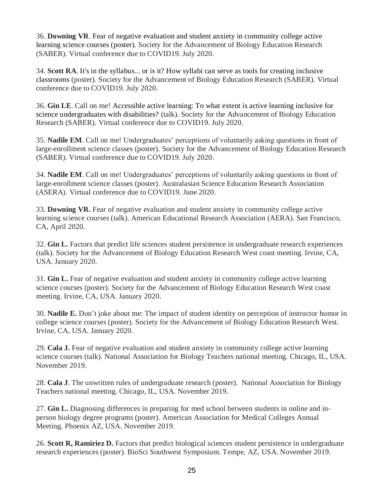36. **Downing VR**. Fear of negative evaluation and student anxiety in community college active learning science courses (poster). Society for the Advancement of Biology Education Research (SABER). Virtual conference due to COVID19. July 2020.

34. **Scott RA**. It's in the syllabus... or is it? How syllabi can serve as tools for creating inclusive classrooms (poster). Society for the Advancement of Biology Education Research (SABER). Virtual conference due to COVID19. July 2020.

36. **Gin LE**. Call on me! Accessible active learning: To what extent is active learning inclusive for science undergraduates with disabilities? (talk). Society for the Advancement of Biology Education Research (SABER). Virtual conference due to COVID19. July 2020.

35. **Nadile EM**. Call on me! Undergraduates' perceptions of voluntarily asking questions in front of large-enrollment science classes (poster). Society for the Advancement of Biology Education Research (SABER). Virtual conference due to COVID19. July 2020.

34. **Nadile EM**. Call on me! Undergraduates' perceptions of voluntarily asking questions in front of large-enrollment science classes (poster). Australasian Science Education Research Association (ASERA). Virtual conference due to COVID19. June 2020.

33. **Downing VR.** Fear of negative evaluation and student anxiety in community college active learning science courses (talk). American Educational Research Association (AERA). San Francisco, CA, April 2020.

32. **Gin L.** Factors that predict life sciences student persistence in undergraduate research experiences (talk). Society for the Advancement of Biology Education Research West coast meeting. Irvine, CA, USA. January 2020.

31. **Gin L.** Fear of negative evaluation and student anxiety in community college active learning science courses (poster). Society for the Advancement of Biology Education Research West coast meeting. Irvine, CA, USA. January 2020.

30. **Nadile E.** Don't joke about me: The impact of student identity on perception of instructor humor in college science courses (poster). Society for the Advancement of Biology Education Research West. Irvine, CA, USA. January 2020.

29. **Cala J.** Fear of negative evaluation and student anxiety in community college active learning science courses (talk). National Association for Biology Teachers national meeting. Chicago, IL, USA. November 2019.

28. **Cala J**. The unwritten rules of undergraduate research (poster). National Association for Biology Teachers national meeting. Chicago, IL, USA. November 2019.

27. **Gin L.** Diagnosing differences in preparing for med school between students in online and inperson biology degree programs (poster). American Association for Medical Colleges Annual Meeting. Phoenix AZ, USA. November 2019.

26. **Scott R, Ramiriez D.** Factors that predict biological sciences student persistence in undergraduate research experiences (poster). BioSci Southwest Symposium. Tempe, AZ, USA. November 2019.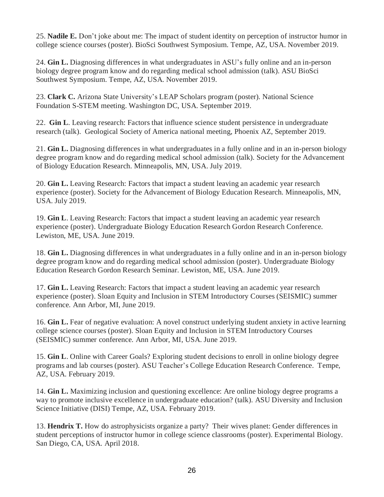25. **Nadile E.** Don't joke about me: The impact of student identity on perception of instructor humor in college science courses (poster). BioSci Southwest Symposium. Tempe, AZ, USA. November 2019.

24. **Gin L.** Diagnosing differences in what undergraduates in ASU's fully online and an in-person biology degree program know and do regarding medical school admission (talk). ASU BioSci Southwest Symposium. Tempe, AZ, USA. November 2019.

23. **Clark C.** Arizona State University's LEAP Scholars program (poster). National Science Foundation S-STEM meeting. Washington DC, USA. September 2019.

22. **Gin L**. Leaving research: Factors that influence science student persistence in undergraduate research (talk). Geological Society of America national meeting, Phoenix AZ, September 2019.

21. **Gin L.** Diagnosing differences in what undergraduates in a fully online and in an in-person biology degree program know and do regarding medical school admission (talk). Society for the Advancement of Biology Education Research. Minneapolis, MN, USA. July 2019.

20. **Gin L.** Leaving Research: Factors that impact a student leaving an academic year research experience (poster). Society for the Advancement of Biology Education Research. Minneapolis, MN, USA. July 2019.

19. **Gin L**. Leaving Research: Factors that impact a student leaving an academic year research experience (poster). Undergraduate Biology Education Research Gordon Research Conference. Lewiston, ME, USA. June 2019.

18. **Gin L.** Diagnosing differences in what undergraduates in a fully online and in an in-person biology degree program know and do regarding medical school admission (poster). Undergraduate Biology Education Research Gordon Research Seminar. Lewiston, ME, USA. June 2019.

17. **Gin L.** Leaving Research: Factors that impact a student leaving an academic year research experience (poster). Sloan Equity and Inclusion in STEM Introductory Courses (SEISMIC) summer conference. Ann Arbor, MI, June 2019.

16. **Gin L.** Fear of negative evaluation: A novel construct underlying student anxiety in active learning college science courses (poster). Sloan Equity and Inclusion in STEM Introductory Courses (SEISMIC) summer conference. Ann Arbor, MI, USA. June 2019.

15. **Gin L**. Online with Career Goals? Exploring student decisions to enroll in online biology degree programs and lab courses (poster). ASU Teacher's College Education Research Conference. Tempe, AZ, USA. February 2019.

14. **Gin L.** Maximizing inclusion and questioning excellence: Are online biology degree programs a way to promote inclusive excellence in undergraduate education? (talk). ASU Diversity and Inclusion Science Initiative (DISI) Tempe, AZ, USA. February 2019.

13. **Hendrix T.** How do astrophysicists organize a party? Their wives planet: Gender differences in student perceptions of instructor humor in college science classrooms (poster). Experimental Biology. San Diego, CA, USA. April 2018.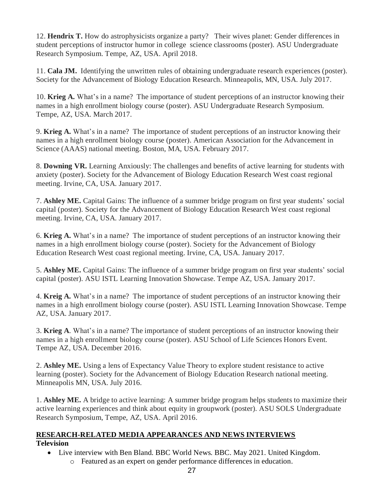12. **Hendrix T.** How do astrophysicists organize a party? Their wives planet: Gender differences in student perceptions of instructor humor in college science classrooms (poster). ASU Undergraduate Research Symposium. Tempe, AZ, USA. April 2018.

11. **Cala JM.** Identifying the unwritten rules of obtaining undergraduate research experiences (poster). Society for the Advancement of Biology Education Research. Minneapolis, MN, USA. July 2017.

10. **Krieg A.** What's in a name? The importance of student perceptions of an instructor knowing their names in a high enrollment biology course (poster). ASU Undergraduate Research Symposium. Tempe, AZ, USA. March 2017.

9. **Krieg A.** What's in a name? The importance of student perceptions of an instructor knowing their names in a high enrollment biology course (poster). American Association for the Advancement in Science (AAAS) national meeting. Boston, MA, USA. February 2017.

8. **Downing VR.** Learning Anxiously: The challenges and benefits of active learning for students with anxiety (poster). Society for the Advancement of Biology Education Research West coast regional meeting. Irvine, CA, USA. January 2017.

7. **Ashley ME.** Capital Gains: The influence of a summer bridge program on first year students' social capital (poster). Society for the Advancement of Biology Education Research West coast regional meeting. Irvine, CA, USA. January 2017.

6. **Krieg A.** What's in a name? The importance of student perceptions of an instructor knowing their names in a high enrollment biology course (poster). Society for the Advancement of Biology Education Research West coast regional meeting. Irvine, CA, USA. January 2017.

5. **Ashley ME.** Capital Gains: The influence of a summer bridge program on first year students' social capital (poster). ASU ISTL Learning Innovation Showcase. Tempe AZ, USA. January 2017.

4. **Kreig A.** What's in a name? The importance of student perceptions of an instructor knowing their names in a high enrollment biology course (poster). ASU ISTL Learning Innovation Showcase. Tempe AZ, USA. January 2017.

3. **Krieg A**. What's in a name? The importance of student perceptions of an instructor knowing their names in a high enrollment biology course (poster). ASU School of Life Sciences Honors Event. Tempe AZ, USA. December 2016.

2. **Ashley ME.** Using a lens of Expectancy Value Theory to explore student resistance to active learning (poster). Society for the Advancement of Biology Education Research national meeting. Minneapolis MN, USA. July 2016.

1. **Ashley ME.** A bridge to active learning: A summer bridge program helps students to maximize their active learning experiences and think about equity in groupwork (poster). ASU SOLS Undergraduate Research Symposium, Tempe, AZ, USA. April 2016.

#### **RESEARCH-RELATED MEDIA APPEARANCES AND NEWS INTERVIEWS Television**

- Live interview with Ben Bland. BBC World News. BBC. May 2021. United Kingdom.
	- o Featured as an expert on gender performance differences in education.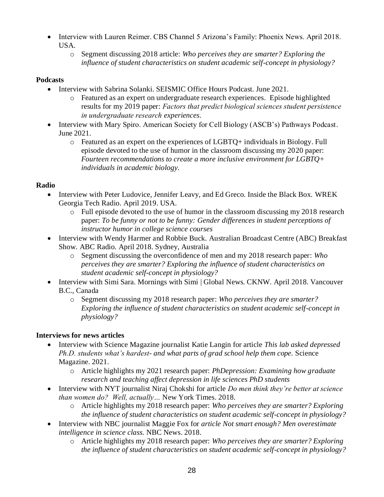- Interview with Lauren Reimer. CBS Channel 5 Arizona's Family: Phoenix News. April 2018. USA.
	- o Segment discussing 2018 article: *Who perceives they are smarter? Exploring the influence of student characteristics on student academic self-concept in physiology?*

## **Podcasts**

- Interview with Sabrina Solanki. SEISMIC Office Hours Podcast. June 2021.
	- o Featured as an expert on undergraduate research experiences. Episode highlighted results for my 2019 paper: *Factors that predict biological sciences student persistence in undergraduate research experiences.*
- Interview with Mary Spiro. American Society for Cell Biology (ASCB's) Pathways Podcast. June 2021.
	- o Featured as an expert on the experiences of LGBTQ+ individuals in Biology. Full episode devoted to the use of humor in the classroom discussing my 2020 paper: *Fourteen recommendations to create a more inclusive environment for LGBTQ+ individuals in academic biology.*

# **Radio**

- Interview with Peter Ludovice, Jennifer Leavy, and Ed Greco. Inside the Black Box. WREK Georgia Tech Radio. April 2019. USA.
	- $\circ$  Full episode devoted to the use of humor in the classroom discussing my 2018 research paper: *To be funny or not to be funny: Gender differences in student perceptions of instructor humor in college science courses*
- Interview with Wendy Harmer and Robbie Buck. Australian Broadcast Centre (ABC) Breakfast Show. ABC Radio. April 2018. Sydney, Australia
	- o Segment discussing the overconfidence of men and my 2018 research paper: *Who perceives they are smarter? Exploring the influence of student characteristics on student academic self-concept in physiology?*
- Interview with Simi Sara. Mornings with Simi | Global News. CKNW. April 2018. Vancouver B.C., Canada
	- o Segment discussing my 2018 research paper: *Who perceives they are smarter? Exploring the influence of student characteristics on student academic self-concept in physiology?*

# **Interviews for news articles**

- Interview with Science Magazine journalist Katie Langin for article *This lab asked depressed Ph.D. students what's hardest- and what parts of grad school help them cope.* Science Magazine. 2021.
	- o Article highlights my 2021 research paper: *PhDepression: Examining how graduate research and teaching affect depression in life sciences PhD students*
- Interview with NYT journalist Niraj Chokshi for article *Do men think they're better at science than women do? Well, actually…* New York Times. 2018.
	- o Article highlights my 2018 research paper: *Who perceives they are smarter? Exploring the influence of student characteristics on student academic self-concept in physiology?*
- Interview with NBC journalist Maggie Fox for *article Not smart enough? Men overestimate intelligence in science class.* NBC News. 2018.
	- o Article highlights my 2018 research paper: *Who perceives they are smarter? Exploring the influence of student characteristics on student academic self-concept in physiology?*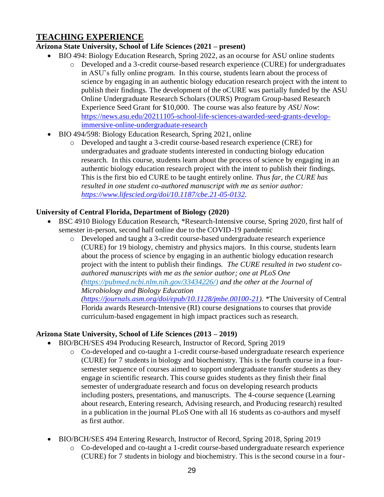# **TEACHING EXPERIENCE**

# **Arizona State University, School of Life Sciences (2021 – present)**

- BIO 494: Biology Education Research, Spring 2022, as an ocourse for ASU online students
	- o Developed and a 3-credit course-based research experience (CURE) for undergraduates in ASU's fully online program. In this course, students learn about the process of science by engaging in an authentic biology education research project with the intent to publish their findings. The development of the oCURE was partially funded by the ASU Online Undergraduate Research Scholars (OURS) Program Group-based Research Experience Seed Grant for \$10,000. The course was also feature by *ASU Now*: [https://news.asu.edu/20211105-school-life-sciences-awarded-seed-grants-develop](https://news.asu.edu/20211105-school-life-sciences-awarded-seed-grants-develop-immersive-online-undergraduate-research)[immersive-online-undergraduate-research](https://news.asu.edu/20211105-school-life-sciences-awarded-seed-grants-develop-immersive-online-undergraduate-research)
- BIO 494/598: Biology Education Research, Spring 2021, online
	- o Developed and taught a 3-credit course-based research experience (CRE) for undergraduates and graduate students interested in conducting biology education research. In this course, students learn about the process of science by engaging in an authentic biology education research project with the intent to publish their findings. This is the first bio ed CURE to be taught entirely online. *Thus far, the CURE has resulted in one student co-authored manuscript with me as senior author: [https://www.lifescied.org/doi/10.1187/cbe.21-05-0132.](https://www.lifescied.org/doi/10.1187/cbe.21-05-0132)*

# **University of Central Florida, Department of Biology (2020)**

- BSC 4910 Biology Education Research, \*Research-Intensive course, Spring 2020, first half of semester in-person, second half online due to the COVID-19 pandemic
	- o Developed and taught a 3-credit course-based undergraduate research experience (CURE) for 19 biology, chemistry and physics majors. In this course, students learn about the process of science by engaging in an authentic biology education research project with the intent to publish their findings. *The CURE resulted in two student coauthored manuscripts with me as the senior author; one at PLoS One [\(https://pubmed.ncbi.nlm.nih.gov/33434226/\)](https://pubmed.ncbi.nlm.nih.gov/33434226/) and the other at the Journal of Microbiology and Biology Education*

*[\(https://journals.asm.org/doi/epub/10.1128/jmbe.00100-21\)](https://journals.asm.org/doi/epub/10.1128/jmbe.00100-21). \**The University of Central Florida awards Research-Intensive (RI) course designations to courses that provide curriculum-based engagement in high impact practices such as research*.*

# **Arizona State University, School of Life Sciences (2013 – 2019)**

- BIO/BCH/SES 494 Producing Research, Instructor of Record, Spring 2019
	- o Co-developed and co-taught a 1-credit course-based undergraduate research experience (CURE) for 7 students in biology and biochemistry. This is the fourth course in a foursemester sequence of courses aimed to support undergraduate transfer students as they engage in scientific research. This course guides students as they finish their final semester of undergraduate research and focus on developing research products including posters, presentations, and manuscripts. The 4-course sequence (Learning about research, Entering research, Advising research, and Producing research) resulted in a publication in the journal PLoS One with all 16 students as co-authors and myself as first author.
- BIO/BCH/SES 494 Entering Research, Instructor of Record, Spring 2018, Spring 2019
	- o Co-developed and co-taught a 1-credit course-based undergraduate research experience (CURE) for 7 students in biology and biochemistry. This is the second course in a four-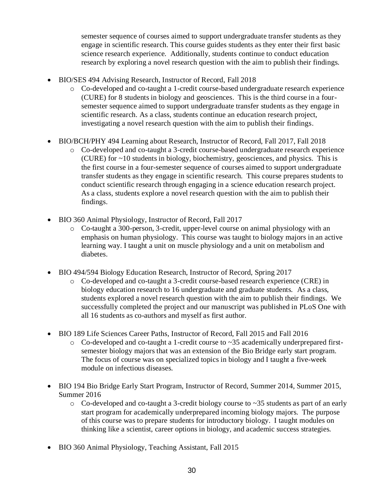semester sequence of courses aimed to support undergraduate transfer students as they engage in scientific research. This course guides students as they enter their first basic science research experience. Additionally, students continue to conduct education research by exploring a novel research question with the aim to publish their findings.

- BIO/SES 494 Advising Research, Instructor of Record, Fall 2018
	- o Co-developed and co-taught a 1-credit course-based undergraduate research experience (CURE) for 8 students in biology and geosciences. This is the third course in a foursemester sequence aimed to support undergraduate transfer students as they engage in scientific research. As a class, students continue an education research project, investigating a novel research question with the aim to publish their findings.
- BIO/BCH/PHY 494 Learning about Research, Instructor of Record, Fall 2017, Fall 2018
	- o Co-developed and co-taught a 3-credit course-based undergraduate research experience (CURE) for ~10 students in biology, biochemistry, geosciences, and physics. This is the first course in a four-semester sequence of courses aimed to support undergraduate transfer students as they engage in scientific research. This course prepares students to conduct scientific research through engaging in a science education research project. As a class, students explore a novel research question with the aim to publish their findings.
- BIO 360 Animal Physiology, Instructor of Record, Fall 2017
	- o Co-taught a 300-person, 3-credit, upper-level course on animal physiology with an emphasis on human physiology. This course was taught to biology majors in an active learning way. I taught a unit on muscle physiology and a unit on metabolism and diabetes.
- BIO 494/594 Biology Education Research, Instructor of Record, Spring 2017
	- o Co-developed and co-taught a 3-credit course-based research experience (CRE) in biology education research to 16 undergraduate and graduate students. As a class, students explored a novel research question with the aim to publish their findings. We successfully completed the project and our manuscript was published in PLoS One with all 16 students as co-authors and myself as first author.
- BIO 189 Life Sciences Career Paths, Instructor of Record, Fall 2015 and Fall 2016
	- $\circ$  Co-developed and co-taught a 1-credit course to  $\sim$ 35 academically underprepared firstsemester biology majors that was an extension of the Bio Bridge early start program. The focus of course was on specialized topics in biology and I taught a five-week module on infectious diseases.
- BIO 194 Bio Bridge Early Start Program, Instructor of Record, Summer 2014, Summer 2015, Summer 2016
	- o Co-developed and co-taught a 3-credit biology course to ~35 students as part of an early start program for academically underprepared incoming biology majors. The purpose of this course was to prepare students for introductory biology. I taught modules on thinking like a scientist, career options in biology, and academic success strategies.
- BIO 360 Animal Physiology, Teaching Assistant, Fall 2015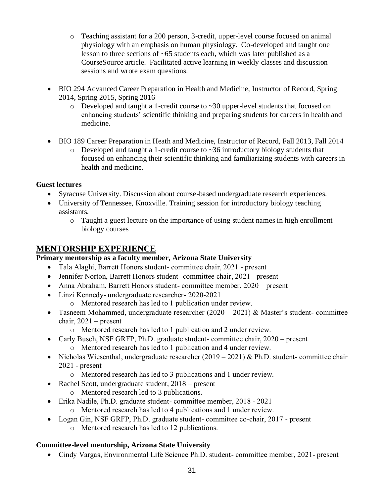- o Teaching assistant for a 200 person, 3-credit, upper-level course focused on animal physiology with an emphasis on human physiology. Co-developed and taught one lesson to three sections of ~65 students each, which was later published as a CourseSource article. Facilitated active learning in weekly classes and discussion sessions and wrote exam questions.
- BIO 294 Advanced Career Preparation in Health and Medicine, Instructor of Record, Spring 2014, Spring 2015, Spring 2016
	- $\circ$  Developed and taught a 1-credit course to  $\sim$ 30 upper-level students that focused on enhancing students' scientific thinking and preparing students for careers in health and medicine.
- BIO 189 Career Preparation in Heath and Medicine, Instructor of Record, Fall 2013, Fall 2014
	- $\circ$  Developed and taught a 1-credit course to  $\sim$ 36 introductory biology students that focused on enhancing their scientific thinking and familiarizing students with careers in health and medicine.

### **Guest lectures**

- Syracuse University. Discussion about course-based undergraduate research experiences.
- University of Tennessee, Knoxville. Training session for introductory biology teaching assistants.
	- o Taught a guest lecture on the importance of using student names in high enrollment biology courses

# **MENTORSHIP EXPERIENCE**

### **Primary mentorship as a faculty member, Arizona State University**

- Tala Alaghi, Barrett Honors student- committee chair, 2021 present
- Jennifer Norton, Barrett Honors student-committee chair, 2021 present
- Anna Abraham, Barrett Honors student- committee member, 2020 present
- Linzi Kennedy- undergraduate researcher- 2020-2021
	- o Mentored research has led to 1 publication under review.
- Tasneem Mohammed, undergraduate researcher  $(2020 2021)$  & Master's student-committee chair, 2021 – present
	- o Mentored research has led to 1 publication and 2 under review.
- Carly Busch, NSF GRFP, Ph.D. graduate student-committee chair, 2020 present
	- o Mentored research has led to 1 publication and 4 under review.
- Nicholas Wiesenthal, undergraduate researcher  $(2019 2021)$  & Ph.D. student- committee chair 2021 - present
	- o Mentored research has led to 3 publications and 1 under review.
- Rachel Scott, undergraduate student, 2018 present
	- o Mentored research led to 3 publications.
- Erika Nadile, Ph.D. graduate student- committee member, 2018 2021
	- o Mentored research has led to 4 publications and 1 under review.
- Logan Gin, NSF GRFP, Ph.D. graduate student- committee co-chair, 2017 present
	- o Mentored research has led to 12 publications.

### **Committee-level mentorship, Arizona State University**

• Cindy Vargas, Environmental Life Science Ph.D. student- committee member, 2021- present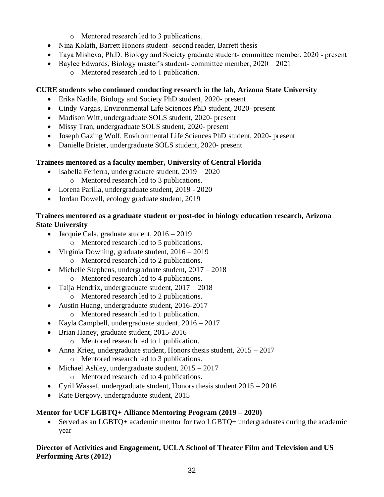- o Mentored research led to 3 publications.
- Nina Kolath, Barrett Honors student-second reader, Barrett thesis
- Taya Misheva, Ph.D. Biology and Society graduate student- committee member, 2020 present
- Baylee Edwards, Biology master's student- committee member,  $2020 2021$ 
	- o Mentored research led to 1 publication.

## **CURE students who continued conducting research in the lab, Arizona State University**

- Erika Nadile, Biology and Society PhD student, 2020- present
- Cindy Vargas, Environmental Life Sciences PhD student, 2020- present
- Madison Witt, undergraduate SOLS student, 2020- present
- Missy Tran, undergraduate SOLS student, 2020- present
- Joseph Gazing Wolf, Environmental Life Sciences PhD student, 2020- present
- Danielle Brister, undergraduate SOLS student, 2020- present

## **Trainees mentored as a faculty member, University of Central Florida**

- Isabella Ferierra, undergraduate student, 2019 2020
	- o Mentored research led to 3 publications.
- Lorena Parilla, undergraduate student, 2019 2020
- Jordan Dowell, ecology graduate student, 2019

### **Trainees mentored as a graduate student or post-doc in biology education research, Arizona State University**

- Jacquie Cala, graduate student,  $2016 2019$ 
	- o Mentored research led to 5 publications.
- Virginia Downing, graduate student,  $2016 2019$ 
	- o Mentored research led to 2 publications.
- Michelle Stephens, undergraduate student,  $2017 2018$ o Mentored research led to 4 publications.
- Taija Hendrix, undergraduate student,  $2017 2018$ 
	- o Mentored research led to 2 publications.
- Austin Huang, undergraduate student, 2016-2017
	- o Mentored research led to 1 publication.
- Kayla Campbell, undergraduate student, 2016 2017
- Brian Haney, graduate student, 2015-2016
	- o Mentored research led to 1 publication.
- Anna Krieg, undergraduate student, Honors thesis student,  $2015 2017$ o Mentored research led to 3 publications.
- Michael Ashley, undergraduate student,  $2015 2017$ 
	- o Mentored research led to 4 publications.
- Cyril Wassef, undergraduate student, Honors thesis student  $2015 2016$
- Kate Bergovy, undergraduate student, 2015

# **Mentor for UCF LGBTQ+ Alliance Mentoring Program (2019 – 2020)**

• Served as an LGBTQ+ academic mentor for two LGBTQ+ undergraduates during the academic year

### **Director of Activities and Engagement, UCLA School of Theater Film and Television and US Performing Arts (2012)**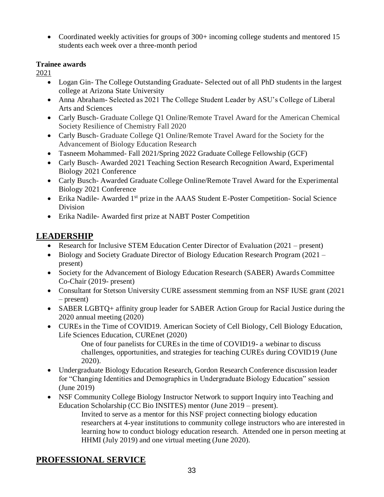• Coordinated weekly activities for groups of 300+ incoming college students and mentored 15 students each week over a three-month period

## **Trainee awards**

2021

- Logan Gin- The College Outstanding Graduate- Selected out of all PhD students in the largest college at Arizona State University
- Anna Abraham- Selected as 2021 The College Student Leader by ASU's College of Liberal Arts and Sciences
- Carly Busch- Graduate College O1 Online/Remote Travel Award for the American Chemical Society Resilience of Chemistry Fall 2020
- Carly Busch- Graduate College O1 Online/Remote Travel Award for the Society for the Advancement of Biology Education Research
- Tasneem Mohammed- Fall 2021/Spring 2022 Graduate College Fellowship (GCF)
- Carly Busch- Awarded 2021 Teaching Section Research Recognition Award, Experimental Biology 2021 Conference
- Carly Busch-Awarded Graduate College Online/Remote Travel Award for the Experimental Biology 2021 Conference
- Erika Nadile- Awarded 1<sup>st</sup> prize in the AAAS Student E-Poster Competition- Social Science Division
- Erika Nadile- Awarded first prize at NABT Poster Competition

# **LEADERSHIP**

- Research for Inclusive STEM Education Center Director of Evaluation (2021 present)
- Biology and Society Graduate Director of Biology Education Research Program (2021 present)
- Society for the Advancement of Biology Education Research (SABER) Awards Committee Co-Chair (2019- present)
- Consultant for Stetson University CURE assessment stemming from an NSF IUSE grant (2021) – present)
- SABER LGBTQ+ affinity group leader for SABER Action Group for Racial Justice during the 2020 annual meeting (2020)
- CUREs in the Time of COVID19. American Society of Cell Biology, Cell Biology Education, Life Sciences Education, CUREnet (2020)

One of four panelists for CUREs in the time of COVID19- a webinar to discuss challenges, opportunities, and strategies for teaching CUREs during COVID19 (June 2020).

- Undergraduate Biology Education Research, Gordon Research Conference discussion leader for "Changing Identities and Demographics in Undergraduate Biology Education" session (June 2019)
- NSF Community College Biology Instructor Network to support Inquiry into Teaching and Education Scholarship (CC Bio INSITES) mentor (June 2019 – present).
	- Invited to serve as a mentor for this NSF project connecting biology education researchers at 4-year institutions to community college instructors who are interested in learning how to conduct biology education research. Attended one in person meeting at HHMI (July 2019) and one virtual meeting (June 2020).

# **PROFESSIONAL SERVICE**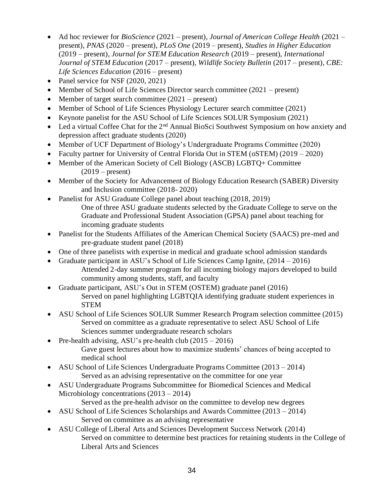- Ad hoc reviewer for *BioScience* (2021 present), *Journal of American College Health* (2021 present), *PNAS* (2020 – present), *PLoS One* (2019 – present), *Studies in Higher Education* (2019 – present), *Journal for STEM Education Research* (2019 – present), *International Journal of STEM Education* (2017 – present), *Wildlife Society Bulletin* (2017 – present), *CBE: Life Sciences Education* (2016 – present)
- Panel service for NSF (2020, 2021)
- Member of School of Life Sciences Director search committee (2021 present)
- Member of target search committee (2021 present)
- Member of School of Life Sciences Physiology Lecturer search committee (2021)
- Keynote panelist for the ASU School of Life Sciences SOLUR Symposium (2021)
- Led a virtual Coffee Chat for the  $2<sup>nd</sup>$  Annual BioSci Southwest Symposium on how anxiety and depression affect graduate students (2020)
- Member of UCF Department of Biology's Undergraduate Programs Committee (2020)
- Faculty partner for University of Central Florida Out in STEM (oSTEM) (2019 2020)
- Member of the American Society of Cell Biology (ASCB) LGBTQ+ Committee  $(2019 - present)$
- Member of the Society for Advancement of Biology Education Research (SABER) Diversity and Inclusion committee (2018- 2020)
- Panelist for ASU Graduate College panel about teaching (2018, 2019) One of three ASU graduate students selected by the Graduate College to serve on the Graduate and Professional Student Association (GPSA) panel about teaching for incoming graduate students
- Panelist for the Students Affiliates of the American Chemical Society (SAACS) pre-med and pre-graduate student panel (2018)
- One of three panelists with expertise in medical and graduate school admission standards
- Graduate participant in ASU's School of Life Sciences Camp Ignite,  $(2014 2016)$ Attended 2-day summer program for all incoming biology majors developed to build community among students, staff, and faculty
- Graduate participant, ASU's Out in STEM (OSTEM) graduate panel (2016) Served on panel highlighting LGBTQIA identifying graduate student experiences in STEM
- ASU School of Life Sciences SOLUR Summer Research Program selection committee (2015) Served on committee as a graduate representative to select ASU School of Life Sciences summer undergraduate research scholars
- Pre-health advising, ASU's pre-health club  $(2015 2016)$ Gave guest lectures about how to maximize students' chances of being accepted to medical school
- ASU School of Life Sciences Undergraduate Programs Committee (2013 2014) Served as an advising representative on the committee for one year
- ASU Undergraduate Programs Subcommittee for Biomedical Sciences and Medical Microbiology concentrations (2013 – 2014)
	- Served as the pre-health advisor on the committee to develop new degrees
- ASU School of Life Sciences Scholarships and Awards Committee (2013 2014) Served on committee as an advising representative
- ASU College of Liberal Arts and Sciences Development Success Network (2014) Served on committee to determine best practices for retaining students in the College of Liberal Arts and Sciences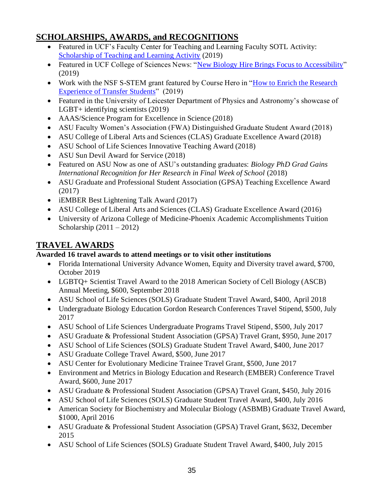# **SCHOLARSHIPS, AWARDS, and RECOGNITIONS**

- Featured in UCF's Faculty Center for Teaching and Learning Faculty SOTL Activity: [Scholarship of Teaching and Learning Activity](https://fctl.ucf.edu/sotl-and-dber/faculty-sotl-activity/) (2019)
- Featured in UCF College of Sciences News: ["New Biology Hire Brings Focus to Accessibility"](https://sciences.ucf.edu/news/new-biology-hire-brings-focus-to-accessibility/) (2019)
- Work with the NSF S-STEM grant featured by Course Hero in ["How to Enrich the Research](https://www.coursehero.com/faculty-club/classroom-tips/katelyn-cooper/)  [Experience of Transfer Students"](https://www.coursehero.com/faculty-club/classroom-tips/katelyn-cooper/) (2019)
- Featured in the University of Leicester Department of Physics and Astronomy's showcase of LGBT+ identifying scientists (2019)
- AAAS/Science Program for Excellence in Science (2018)
- ASU Faculty Women's Association (FWA) Distinguished Graduate Student Award (2018)
- ASU College of Liberal Arts and Sciences (CLAS) Graduate Excellence Award (2018)
- ASU School of Life Sciences Innovative Teaching Award (2018)
- ASU Sun Devil Award for Service (2018)
- Featured on ASU Now as one of ASU's outstanding graduates: *[Biology PhD Grad Gains](https://asunow.asu.edu/20180429-biology-phd-grad-gains-international-recognition-her-research-final-week-school)  [International Recognition for Her Research in Final Week of School](https://asunow.asu.edu/20180429-biology-phd-grad-gains-international-recognition-her-research-final-week-school)* (2018)
- ASU Graduate and Professional Student Association (GPSA) Teaching Excellence Award (2017)
- iEMBER Best Lightening Talk Award (2017)
- ASU College of Liberal Arts and Sciences (CLAS) Graduate Excellence Award (2016)
- University of Arizona College of Medicine-Phoenix Academic Accomplishments Tuition Scholarship  $(2011 - 2012)$

# **TRAVEL AWARDS**

# **Awarded 16 travel awards to attend meetings or to visit other institutions**

- Florida International University Advance Women, Equity and Diversity travel award, \$700, October 2019
- LGBTQ+ Scientist Travel Award to the 2018 American Society of Cell Biology (ASCB) Annual Meeting, \$600, September 2018
- ASU School of Life Sciences (SOLS) Graduate Student Travel Award, \$400, April 2018
- Undergraduate Biology Education Gordon Research Conferences Travel Stipend, \$500, July 2017
- ASU School of Life Sciences Undergraduate Programs Travel Stipend, \$500, July 2017
- ASU Graduate & Professional Student Association (GPSA) Travel Grant, \$950, June 2017
- ASU School of Life Sciences (SOLS) Graduate Student Travel Award, \$400, June 2017
- ASU Graduate College Travel Award, \$500, June 2017
- ASU Center for Evolutionary Medicine Trainee Travel Grant, \$500, June 2017
- Environment and Metrics in Biology Education and Research (EMBER) Conference Travel Award, \$600, June 2017
- ASU Graduate & Professional Student Association (GPSA) Travel Grant, \$450, July 2016
- ASU School of Life Sciences (SOLS) Graduate Student Travel Award, \$400, July 2016
- American Society for Biochemistry and Molecular Biology (ASBMB) Graduate Travel Award, \$1000, April 2016
- ASU Graduate & Professional Student Association (GPSA) Travel Grant, \$632, December 2015
- ASU School of Life Sciences (SOLS) Graduate Student Travel Award, \$400, July 2015